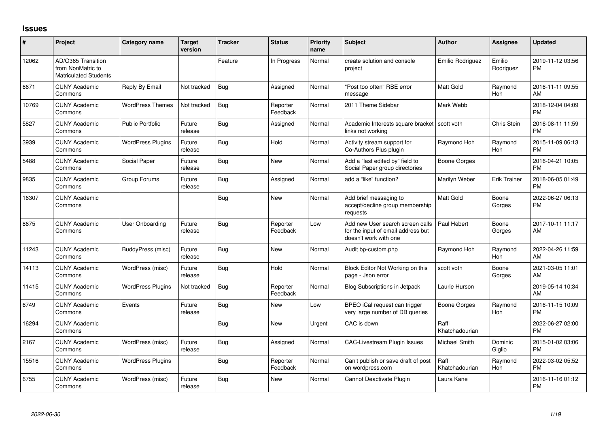## **Issues**

| #     | Project                                                                 | Category name            | <b>Target</b><br>version | <b>Tracker</b> | <b>Status</b>        | Priority<br>name | Subject                                                                                         | <b>Author</b>           | <b>Assignee</b>     | <b>Updated</b>                |
|-------|-------------------------------------------------------------------------|--------------------------|--------------------------|----------------|----------------------|------------------|-------------------------------------------------------------------------------------------------|-------------------------|---------------------|-------------------------------|
| 12062 | AD/O365 Transition<br>from NonMatric to<br><b>Matriculated Students</b> |                          |                          | Feature        | In Progress          | Normal           | create solution and console<br>project                                                          | Emilio Rodriguez        | Emilio<br>Rodriguez | 2019-11-12 03:56<br><b>PM</b> |
| 6671  | <b>CUNY Academic</b><br>Commons                                         | Reply By Email           | Not tracked              | Bug            | Assigned             | Normal           | 'Post too often" RBE error<br>message                                                           | <b>Matt Gold</b>        | Raymond<br>Hoh      | 2016-11-11 09:55<br>AM        |
| 10769 | <b>CUNY Academic</b><br>Commons                                         | <b>WordPress Themes</b>  | Not tracked              | Bug            | Reporter<br>Feedback | Normal           | 2011 Theme Sidebar                                                                              | Mark Webb               |                     | 2018-12-04 04:09<br><b>PM</b> |
| 5827  | <b>CUNY Academic</b><br>Commons                                         | <b>Public Portfolio</b>  | Future<br>release        | Bug            | Assigned             | Normal           | Academic Interests square bracket<br>links not working                                          | scott voth              | Chris Stein         | 2016-08-11 11:59<br><b>PM</b> |
| 3939  | <b>CUNY Academic</b><br>Commons                                         | <b>WordPress Plugins</b> | Future<br>release        | Bug            | Hold                 | Normal           | Activity stream support for<br>Co-Authors Plus plugin                                           | Raymond Hoh             | Raymond<br>Hoh      | 2015-11-09 06:13<br><b>PM</b> |
| 5488  | <b>CUNY Academic</b><br>Commons                                         | Social Paper             | Future<br>release        | Bug            | New                  | Normal           | Add a "last edited by" field to<br>Social Paper group directories                               | Boone Gorges            |                     | 2016-04-21 10:05<br><b>PM</b> |
| 9835  | <b>CUNY Academic</b><br>Commons                                         | Group Forums             | Future<br>release        | Bug            | Assigned             | Normal           | add a "like" function?                                                                          | Marilyn Weber           | Erik Trainer        | 2018-06-05 01:49<br><b>PM</b> |
| 16307 | <b>CUNY Academic</b><br>Commons                                         |                          |                          | Bug            | <b>New</b>           | Normal           | Add brief messaging to<br>accept/decline group membership<br>requests                           | <b>Matt Gold</b>        | Boone<br>Gorges     | 2022-06-27 06:13<br><b>PM</b> |
| 8675  | <b>CUNY Academic</b><br>Commons                                         | <b>User Onboarding</b>   | Future<br>release        | Bug            | Reporter<br>Feedback | Low              | Add new User search screen calls<br>for the input of email address but<br>doesn't work with one | Paul Hebert             | Boone<br>Gorges     | 2017-10-11 11:17<br>AM        |
| 11243 | <b>CUNY Academic</b><br>Commons                                         | BuddyPress (misc)        | Future<br>release        | Bug            | <b>New</b>           | Normal           | Audit bp-custom.php                                                                             | Raymond Hoh             | Raymond<br>Hoh      | 2022-04-26 11:59<br>AM        |
| 14113 | <b>CUNY Academic</b><br>Commons                                         | WordPress (misc)         | Future<br>release        | <b>Bug</b>     | Hold                 | Normal           | Block Editor Not Working on this<br>page - Json error                                           | scott voth              | Boone<br>Gorges     | 2021-03-05 11:01<br>AM        |
| 11415 | <b>CUNY Academic</b><br>Commons                                         | <b>WordPress Plugins</b> | Not tracked              | <b>Bug</b>     | Reporter<br>Feedback | Normal           | <b>Blog Subscriptions in Jetpack</b>                                                            | Laurie Hurson           |                     | 2019-05-14 10:34<br>AM        |
| 6749  | <b>CUNY Academic</b><br>Commons                                         | Events                   | Future<br>release        | <b>Bug</b>     | <b>New</b>           | Low              | BPEO iCal request can trigger<br>very large number of DB queries                                | Boone Gorges            | Raymond<br>Hoh      | 2016-11-15 10:09<br><b>PM</b> |
| 16294 | <b>CUNY Academic</b><br>Commons                                         |                          |                          | <b>Bug</b>     | <b>New</b>           | Urgent           | CAC is down                                                                                     | Raffi<br>Khatchadourian |                     | 2022-06-27 02:00<br><b>PM</b> |
| 2167  | <b>CUNY Academic</b><br>Commons                                         | WordPress (misc)         | Future<br>release        | Bug            | Assigned             | Normal           | <b>CAC-Livestream Plugin Issues</b>                                                             | Michael Smith           | Dominic<br>Giglio   | 2015-01-02 03:06<br><b>PM</b> |
| 15516 | <b>CUNY Academic</b><br>Commons                                         | <b>WordPress Plugins</b> |                          | Bug            | Reporter<br>Feedback | Normal           | Can't publish or save draft of post<br>on wordpress.com                                         | Raffi<br>Khatchadourian | Raymond<br>Hoh      | 2022-03-02 05:52<br><b>PM</b> |
| 6755  | <b>CUNY Academic</b><br>Commons                                         | WordPress (misc)         | Future<br>release        | Bug            | New                  | Normal           | Cannot Deactivate Plugin                                                                        | Laura Kane              |                     | 2016-11-16 01:12<br><b>PM</b> |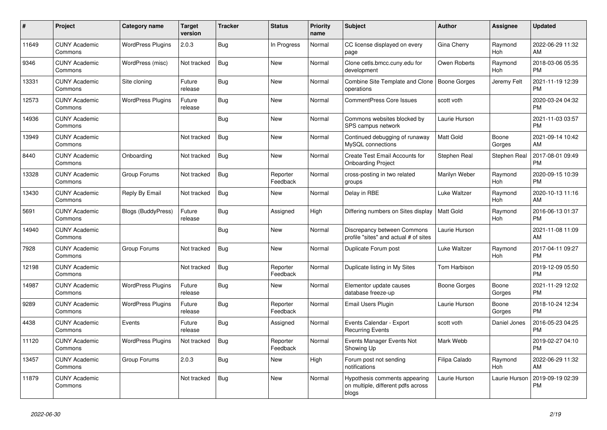| #     | Project                         | <b>Category name</b>     | <b>Target</b><br>version | <b>Tracker</b> | <b>Status</b>        | <b>Priority</b><br>name | <b>Subject</b>                                                               | <b>Author</b>       | Assignee              | <b>Updated</b>                |
|-------|---------------------------------|--------------------------|--------------------------|----------------|----------------------|-------------------------|------------------------------------------------------------------------------|---------------------|-----------------------|-------------------------------|
| 11649 | <b>CUNY Academic</b><br>Commons | <b>WordPress Plugins</b> | 2.0.3                    | Bug            | In Progress          | Normal                  | CC license displayed on every<br>page                                        | Gina Cherry         | Raymond<br>Hoh        | 2022-06-29 11:32<br>AM        |
| 9346  | <b>CUNY Academic</b><br>Commons | WordPress (misc)         | Not tracked              | Bug            | New                  | Normal                  | Clone cetls.bmcc.cuny.edu for<br>development                                 | Owen Roberts        | Raymond<br><b>Hoh</b> | 2018-03-06 05:35<br><b>PM</b> |
| 13331 | <b>CUNY Academic</b><br>Commons | Site cloning             | Future<br>release        | Bug            | New                  | Normal                  | Combine Site Template and Clone<br>operations                                | Boone Gorges        | Jeremy Felt           | 2021-11-19 12:39<br><b>PM</b> |
| 12573 | <b>CUNY Academic</b><br>Commons | <b>WordPress Plugins</b> | Future<br>release        | Bug            | <b>New</b>           | Normal                  | <b>CommentPress Core Issues</b>                                              | scott voth          |                       | 2020-03-24 04:32<br><b>PM</b> |
| 14936 | <b>CUNY Academic</b><br>Commons |                          |                          | Bug            | New                  | Normal                  | Commons websites blocked by<br>SPS campus network                            | Laurie Hurson       |                       | 2021-11-03 03:57<br><b>PM</b> |
| 13949 | <b>CUNY Academic</b><br>Commons |                          | Not tracked              | <b>Bug</b>     | New                  | Normal                  | Continued debugging of runaway<br>MySQL connections                          | <b>Matt Gold</b>    | Boone<br>Gorges       | 2021-09-14 10:42<br>AM        |
| 8440  | <b>CUNY Academic</b><br>Commons | Onboarding               | Not tracked              | Bug            | <b>New</b>           | Normal                  | Create Test Email Accounts for<br><b>Onboarding Project</b>                  | <b>Stephen Real</b> | Stephen Real          | 2017-08-01 09:49<br><b>PM</b> |
| 13328 | <b>CUNY Academic</b><br>Commons | Group Forums             | Not tracked              | Bug            | Reporter<br>Feedback | Normal                  | cross-posting in two related<br>groups                                       | Marilyn Weber       | Raymond<br><b>Hoh</b> | 2020-09-15 10:39<br><b>PM</b> |
| 13430 | <b>CUNY Academic</b><br>Commons | Reply By Email           | Not tracked              | Bug            | New                  | Normal                  | Delay in RBE                                                                 | Luke Waltzer        | Raymond<br>Hoh        | 2020-10-13 11:16<br>AM        |
| 5691  | <b>CUNY Academic</b><br>Commons | Blogs (BuddyPress)       | Future<br>release        | Bug            | Assigned             | High                    | Differing numbers on Sites display                                           | <b>Matt Gold</b>    | Raymond<br>Hoh        | 2016-06-13 01:37<br><b>PM</b> |
| 14940 | <b>CUNY Academic</b><br>Commons |                          |                          | Bug            | <b>New</b>           | Normal                  | Discrepancy between Commons<br>profile "sites" and actual # of sites         | Laurie Hurson       |                       | 2021-11-08 11:09<br>AM        |
| 7928  | <b>CUNY Academic</b><br>Commons | Group Forums             | Not tracked              | Bug            | New                  | Normal                  | Duplicate Forum post                                                         | Luke Waltzer        | Raymond<br>Hoh        | 2017-04-11 09:27<br><b>PM</b> |
| 12198 | <b>CUNY Academic</b><br>Commons |                          | Not tracked              | Bug            | Reporter<br>Feedback | Normal                  | Duplicate listing in My Sites                                                | Tom Harbison        |                       | 2019-12-09 05:50<br><b>PM</b> |
| 14987 | <b>CUNY Academic</b><br>Commons | <b>WordPress Plugins</b> | Future<br>release        | Bug            | <b>New</b>           | Normal                  | Elementor update causes<br>database freeze-up                                | Boone Gorges        | Boone<br>Gorges       | 2021-11-29 12:02<br><b>PM</b> |
| 9289  | <b>CUNY Academic</b><br>Commons | <b>WordPress Plugins</b> | Future<br>release        | Bug            | Reporter<br>Feedback | Normal                  | Email Users Plugin                                                           | Laurie Hurson       | Boone<br>Gorges       | 2018-10-24 12:34<br><b>PM</b> |
| 4438  | <b>CUNY Academic</b><br>Commons | Events                   | Future<br>release        | Bug            | Assigned             | Normal                  | Events Calendar - Export<br><b>Recurring Events</b>                          | scott voth          | Daniel Jones          | 2016-05-23 04:25<br><b>PM</b> |
| 11120 | <b>CUNY Academic</b><br>Commons | <b>WordPress Plugins</b> | Not tracked              | Bug            | Reporter<br>Feedback | Normal                  | Events Manager Events Not<br>Showing Up                                      | Mark Webb           |                       | 2019-02-27 04:10<br><b>PM</b> |
| 13457 | <b>CUNY Academic</b><br>Commons | Group Forums             | 2.0.3                    | Bug            | New                  | High                    | Forum post not sending<br>notifications                                      | Filipa Calado       | Raymond<br>Hoh        | 2022-06-29 11:32<br>AM        |
| 11879 | <b>CUNY Academic</b><br>Commons |                          | Not tracked              | Bug            | <b>New</b>           | Normal                  | Hypothesis comments appearing<br>on multiple, different pdfs across<br>blogs | Laurie Hurson       | Laurie Hurson         | 2019-09-19 02:39<br><b>PM</b> |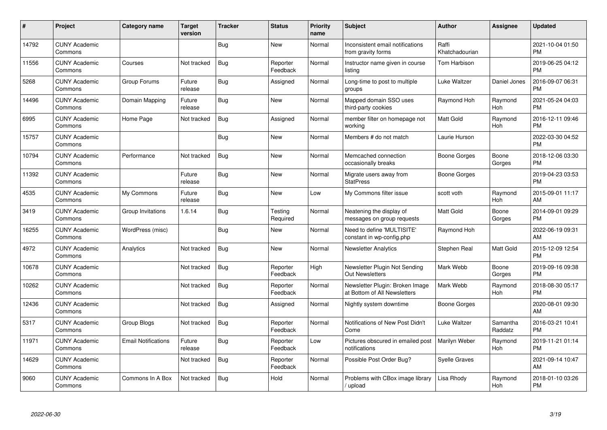| #     | Project                         | Category name              | <b>Target</b><br>version | <b>Tracker</b> | <b>Status</b>        | Priority<br>name | <b>Subject</b>                                                  | <b>Author</b>           | <b>Assignee</b>     | <b>Updated</b>                |
|-------|---------------------------------|----------------------------|--------------------------|----------------|----------------------|------------------|-----------------------------------------------------------------|-------------------------|---------------------|-------------------------------|
| 14792 | <b>CUNY Academic</b><br>Commons |                            |                          | Bug            | <b>New</b>           | Normal           | Inconsistent email notifications<br>from gravity forms          | Raffi<br>Khatchadourian |                     | 2021-10-04 01:50<br><b>PM</b> |
| 11556 | <b>CUNY Academic</b><br>Commons | Courses                    | Not tracked              | Bug            | Reporter<br>Feedback | Normal           | Instructor name given in course<br>listing                      | Tom Harbison            |                     | 2019-06-25 04:12<br><b>PM</b> |
| 5268  | <b>CUNY Academic</b><br>Commons | Group Forums               | Future<br>release        | Bug            | Assigned             | Normal           | Long-time to post to multiple<br>groups                         | Luke Waltzer            | Daniel Jones        | 2016-09-07 06:31<br><b>PM</b> |
| 14496 | <b>CUNY Academic</b><br>Commons | Domain Mapping             | Future<br>release        | Bug            | <b>New</b>           | Normal           | Mapped domain SSO uses<br>third-party cookies                   | Raymond Hoh             | Raymond<br>Hoh      | 2021-05-24 04:03<br><b>PM</b> |
| 6995  | <b>CUNY Academic</b><br>Commons | Home Page                  | Not tracked              | Bug            | Assigned             | Normal           | member filter on homepage not<br>working                        | <b>Matt Gold</b>        | Raymond<br>Hoh      | 2016-12-11 09:46<br><b>PM</b> |
| 15757 | <b>CUNY Academic</b><br>Commons |                            |                          | <b>Bug</b>     | <b>New</b>           | Normal           | Members # do not match                                          | Laurie Hurson           |                     | 2022-03-30 04:52<br><b>PM</b> |
| 10794 | <b>CUNY Academic</b><br>Commons | Performance                | Not tracked              | <b>Bug</b>     | <b>New</b>           | Normal           | Memcached connection<br>occasionally breaks                     | Boone Gorges            | Boone<br>Gorges     | 2018-12-06 03:30<br><b>PM</b> |
| 11392 | <b>CUNY Academic</b><br>Commons |                            | Future<br>release        | Bug            | <b>New</b>           | Normal           | Migrate users away from<br><b>StatPress</b>                     | Boone Gorges            |                     | 2019-04-23 03:53<br><b>PM</b> |
| 4535  | <b>CUNY Academic</b><br>Commons | My Commons                 | Future<br>release        | Bug            | <b>New</b>           | Low              | My Commons filter issue                                         | scott voth              | Raymond<br>Hoh      | 2015-09-01 11:17<br>AM        |
| 3419  | <b>CUNY Academic</b><br>Commons | Group Invitations          | 1.6.14                   | Bug            | Testing<br>Required  | Normal           | Neatening the display of<br>messages on group requests          | <b>Matt Gold</b>        | Boone<br>Gorges     | 2014-09-01 09:29<br><b>PM</b> |
| 16255 | <b>CUNY Academic</b><br>Commons | WordPress (misc)           |                          | <b>Bug</b>     | New                  | Normal           | Need to define 'MULTISITE'<br>constant in wp-config.php         | Raymond Hoh             |                     | 2022-06-19 09:31<br>AM        |
| 4972  | <b>CUNY Academic</b><br>Commons | Analytics                  | Not tracked              | <b>Bug</b>     | <b>New</b>           | Normal           | <b>Newsletter Analytics</b>                                     | Stephen Real            | Matt Gold           | 2015-12-09 12:54<br><b>PM</b> |
| 10678 | <b>CUNY Academic</b><br>Commons |                            | Not tracked              | <b>Bug</b>     | Reporter<br>Feedback | High             | Newsletter Plugin Not Sending<br><b>Out Newsletters</b>         | Mark Webb               | Boone<br>Gorges     | 2019-09-16 09:38<br><b>PM</b> |
| 10262 | <b>CUNY Academic</b><br>Commons |                            | Not tracked              | Bug            | Reporter<br>Feedback | Normal           | Newsletter Plugin: Broken Image<br>at Bottom of All Newsletters | Mark Webb               | Raymond<br>Hoh      | 2018-08-30 05:17<br><b>PM</b> |
| 12436 | <b>CUNY Academic</b><br>Commons |                            | Not tracked              | Bug            | Assigned             | Normal           | Nightly system downtime                                         | Boone Gorges            |                     | 2020-08-01 09:30<br>AM        |
| 5317  | <b>CUNY Academic</b><br>Commons | Group Blogs                | Not tracked              | Bug            | Reporter<br>Feedback | Normal           | Notifications of New Post Didn't<br>Come                        | Luke Waltzer            | Samantha<br>Raddatz | 2016-03-21 10:41<br><b>PM</b> |
| 11971 | <b>CUNY Academic</b><br>Commons | <b>Email Notifications</b> | Future<br>release        | <b>Bug</b>     | Reporter<br>Feedback | Low              | Pictures obscured in emailed post<br>notifications              | Marilyn Weber           | Raymond<br>Hoh      | 2019-11-21 01:14<br><b>PM</b> |
| 14629 | <b>CUNY Academic</b><br>Commons |                            | Not tracked              | Bug            | Reporter<br>Feedback | Normal           | Possible Post Order Bug?                                        | <b>Syelle Graves</b>    |                     | 2021-09-14 10:47<br>AM        |
| 9060  | <b>CUNY Academic</b><br>Commons | Commons In A Box           | Not tracked              | Bug            | Hold                 | Normal           | Problems with CBox image library<br>/ upload                    | Lisa Rhody              | Raymond<br>Hoh      | 2018-01-10 03:26<br><b>PM</b> |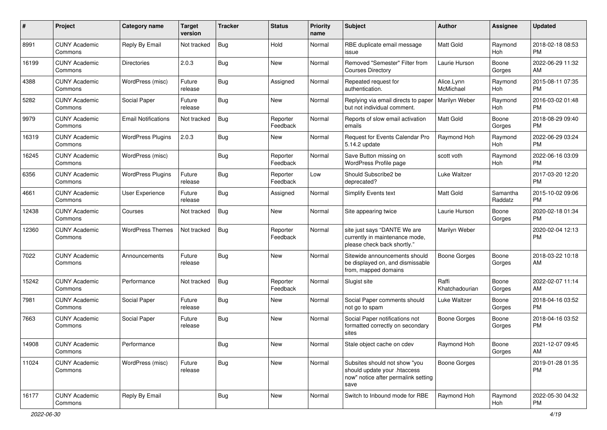| #     | Project                         | <b>Category name</b>       | <b>Target</b><br>version | <b>Tracker</b> | <b>Status</b>        | <b>Priority</b><br>name | Subject                                                                                                      | Author                  | Assignee            | <b>Updated</b>                |
|-------|---------------------------------|----------------------------|--------------------------|----------------|----------------------|-------------------------|--------------------------------------------------------------------------------------------------------------|-------------------------|---------------------|-------------------------------|
| 8991  | <b>CUNY Academic</b><br>Commons | Reply By Email             | Not tracked              | Bug            | Hold                 | Normal                  | RBE duplicate email message<br>issue                                                                         | <b>Matt Gold</b>        | Raymond<br>Hoh      | 2018-02-18 08:53<br><b>PM</b> |
| 16199 | <b>CUNY Academic</b><br>Commons | <b>Directories</b>         | 2.0.3                    | <b>Bug</b>     | New                  | Normal                  | Removed "Semester" Filter from<br><b>Courses Directory</b>                                                   | Laurie Hurson           | Boone<br>Gorges     | 2022-06-29 11:32<br>AM        |
| 4388  | <b>CUNY Academic</b><br>Commons | WordPress (misc)           | Future<br>release        | Bug            | Assigned             | Normal                  | Repeated request for<br>authentication.                                                                      | Alice.Lynn<br>McMichael | Raymond<br>Hoh      | 2015-08-11 07:35<br><b>PM</b> |
| 5282  | <b>CUNY Academic</b><br>Commons | Social Paper               | Future<br>release        | Bug            | <b>New</b>           | Normal                  | Replying via email directs to paper<br>but not individual comment.                                           | Marilyn Weber           | Raymond<br>Hoh      | 2016-03-02 01:48<br><b>PM</b> |
| 9979  | <b>CUNY Academic</b><br>Commons | <b>Email Notifications</b> | Not tracked              | Bug            | Reporter<br>Feedback | Normal                  | Reports of slow email activation<br>emails                                                                   | <b>Matt Gold</b>        | Boone<br>Gorges     | 2018-08-29 09:40<br><b>PM</b> |
| 16319 | <b>CUNY Academic</b><br>Commons | <b>WordPress Plugins</b>   | 2.0.3                    | Bug            | New                  | Normal                  | Request for Events Calendar Pro<br>5.14.2 update                                                             | Raymond Hoh             | Raymond<br>Hoh      | 2022-06-29 03:24<br><b>PM</b> |
| 16245 | <b>CUNY Academic</b><br>Commons | WordPress (misc)           |                          | Bug            | Reporter<br>Feedback | Normal                  | Save Button missing on<br>WordPress Profile page                                                             | scott voth              | Raymond<br>Hoh      | 2022-06-16 03:09<br><b>PM</b> |
| 6356  | <b>CUNY Academic</b><br>Commons | <b>WordPress Plugins</b>   | Future<br>release        | Bug            | Reporter<br>Feedback | Low                     | Should Subscribe2 be<br>deprecated?                                                                          | Luke Waltzer            |                     | 2017-03-20 12:20<br><b>PM</b> |
| 4661  | <b>CUNY Academic</b><br>Commons | <b>User Experience</b>     | Future<br>release        | Bug            | Assigned             | Normal                  | Simplify Events text                                                                                         | <b>Matt Gold</b>        | Samantha<br>Raddatz | 2015-10-02 09:06<br><b>PM</b> |
| 12438 | <b>CUNY Academic</b><br>Commons | Courses                    | Not tracked              | Bug            | New                  | Normal                  | Site appearing twice                                                                                         | Laurie Hurson           | Boone<br>Gorges     | 2020-02-18 01:34<br><b>PM</b> |
| 12360 | <b>CUNY Academic</b><br>Commons | <b>WordPress Themes</b>    | Not tracked              | Bug            | Reporter<br>Feedback | Normal                  | site just says "DANTE We are<br>currently in maintenance mode,<br>please check back shortly."                | Marilyn Weber           |                     | 2020-02-04 12:13<br><b>PM</b> |
| 7022  | <b>CUNY Academic</b><br>Commons | Announcements              | Future<br>release        | Bug            | <b>New</b>           | Normal                  | Sitewide announcements should<br>be displayed on, and dismissable<br>from, mapped domains                    | Boone Gorges            | Boone<br>Gorges     | 2018-03-22 10:18<br>AM        |
| 15242 | <b>CUNY Academic</b><br>Commons | Performance                | Not tracked              | Bug            | Reporter<br>Feedback | Normal                  | Slugist site                                                                                                 | Raffi<br>Khatchadourian | Boone<br>Gorges     | 2022-02-07 11:14<br>AM        |
| 7981  | <b>CUNY Academic</b><br>Commons | Social Paper               | Future<br>release        | Bug            | New                  | Normal                  | Social Paper comments should<br>not go to spam                                                               | Luke Waltzer            | Boone<br>Gorges     | 2018-04-16 03:52<br><b>PM</b> |
| 7663  | <b>CUNY Academic</b><br>Commons | Social Paper               | Future<br>release        | Bug            | New                  | Normal                  | Social Paper notifications not<br>formatted correctly on secondary<br>sites                                  | <b>Boone Gorges</b>     | Boone<br>Gorges     | 2018-04-16 03:52<br><b>PM</b> |
| 14908 | <b>CUNY Academic</b><br>Commons | Performance                |                          | Bug            | New                  | Normal                  | Stale object cache on cdev                                                                                   | Raymond Hoh             | Boone<br>Gorges     | 2021-12-07 09:45<br>AM        |
| 11024 | <b>CUNY Academic</b><br>Commons | WordPress (misc)           | Future<br>release        | Bug            | New                  | Normal                  | Subsites should not show "you<br>should update your .htaccess<br>now" notice after permalink setting<br>save | Boone Gorges            |                     | 2019-01-28 01:35<br><b>PM</b> |
| 16177 | <b>CUNY Academic</b><br>Commons | Reply By Email             |                          | <b>Bug</b>     | New                  | Normal                  | Switch to Inbound mode for RBE                                                                               | Raymond Hoh             | Raymond<br>Hoh      | 2022-05-30 04:32<br><b>PM</b> |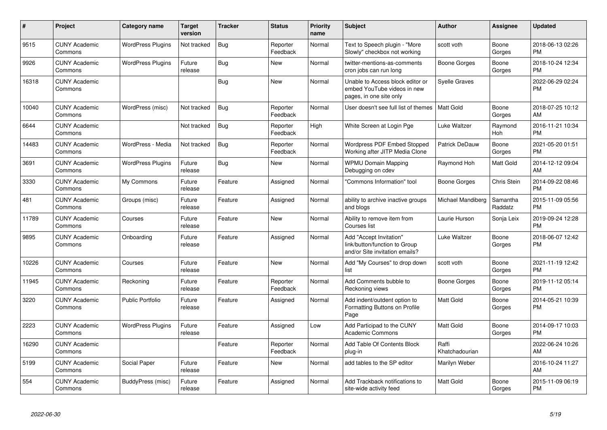| #     | Project                         | <b>Category name</b>     | <b>Target</b><br>version | <b>Tracker</b> | <b>Status</b>        | <b>Priority</b><br>name | <b>Subject</b>                                                                             | <b>Author</b>           | Assignee            | <b>Updated</b>                |
|-------|---------------------------------|--------------------------|--------------------------|----------------|----------------------|-------------------------|--------------------------------------------------------------------------------------------|-------------------------|---------------------|-------------------------------|
| 9515  | <b>CUNY Academic</b><br>Commons | <b>WordPress Plugins</b> | Not tracked              | Bug            | Reporter<br>Feedback | Normal                  | Text to Speech plugin - "More<br>Slowly" checkbox not working                              | scott voth              | Boone<br>Gorges     | 2018-06-13 02:26<br><b>PM</b> |
| 9926  | <b>CUNY Academic</b><br>Commons | <b>WordPress Plugins</b> | Future<br>release        | <b>Bug</b>     | <b>New</b>           | Normal                  | twitter-mentions-as-comments<br>cron jobs can run long                                     | Boone Gorges            | Boone<br>Gorges     | 2018-10-24 12:34<br><b>PM</b> |
| 16318 | <b>CUNY Academic</b><br>Commons |                          |                          | Bug            | New                  | Normal                  | Unable to Access block editor or<br>embed YouTube videos in new<br>pages, in one site only | <b>Syelle Graves</b>    |                     | 2022-06-29 02:24<br><b>PM</b> |
| 10040 | <b>CUNY Academic</b><br>Commons | WordPress (misc)         | Not tracked              | <b>Bug</b>     | Reporter<br>Feedback | Normal                  | User doesn't see full list of themes                                                       | Matt Gold               | Boone<br>Gorges     | 2018-07-25 10:12<br>AM        |
| 6644  | <b>CUNY Academic</b><br>Commons |                          | Not tracked              | Bug            | Reporter<br>Feedback | High                    | White Screen at Login Pge                                                                  | Luke Waltzer            | Raymond<br>Hoh      | 2016-11-21 10:34<br><b>PM</b> |
| 14483 | <b>CUNY Academic</b><br>Commons | WordPress - Media        | Not tracked              | Bug            | Reporter<br>Feedback | Normal                  | <b>Wordpress PDF Embed Stopped</b><br>Working after JITP Media Clone                       | Patrick DeDauw          | Boone<br>Gorges     | 2021-05-20 01:51<br><b>PM</b> |
| 3691  | <b>CUNY Academic</b><br>Commons | <b>WordPress Plugins</b> | Future<br>release        | Bug            | <b>New</b>           | Normal                  | <b>WPMU Domain Mapping</b><br>Debugging on cdev                                            | Raymond Hoh             | Matt Gold           | 2014-12-12 09:04<br>AM        |
| 3330  | <b>CUNY Academic</b><br>Commons | My Commons               | Future<br>release        | Feature        | Assigned             | Normal                  | "Commons Information" tool                                                                 | Boone Gorges            | Chris Stein         | 2014-09-22 08:46<br><b>PM</b> |
| 481   | <b>CUNY Academic</b><br>Commons | Groups (misc)            | Future<br>release        | Feature        | Assigned             | Normal                  | ability to archive inactive groups<br>and blogs                                            | Michael Mandiberg       | Samantha<br>Raddatz | 2015-11-09 05:56<br><b>PM</b> |
| 11789 | <b>CUNY Academic</b><br>Commons | Courses                  | Future<br>release        | Feature        | <b>New</b>           | Normal                  | Ability to remove item from<br>Courses list                                                | Laurie Hurson           | Sonja Leix          | 2019-09-24 12:28<br><b>PM</b> |
| 9895  | <b>CUNY Academic</b><br>Commons | Onboarding               | Future<br>release        | Feature        | Assigned             | Normal                  | Add "Accept Invitation"<br>link/button/function to Group<br>and/or Site invitation emails? | Luke Waltzer            | Boone<br>Gorges     | 2018-06-07 12:42<br><b>PM</b> |
| 10226 | <b>CUNY Academic</b><br>Commons | Courses                  | Future<br>release        | Feature        | New                  | Normal                  | Add "My Courses" to drop down<br>list                                                      | scott voth              | Boone<br>Gorges     | 2021-11-19 12:42<br><b>PM</b> |
| 11945 | <b>CUNY Academic</b><br>Commons | Reckoning                | Future<br>release        | Feature        | Reporter<br>Feedback | Normal                  | Add Comments bubble to<br>Reckoning views                                                  | Boone Gorges            | Boone<br>Gorges     | 2019-11-12 05:14<br><b>PM</b> |
| 3220  | <b>CUNY Academic</b><br>Commons | <b>Public Portfolio</b>  | Future<br>release        | Feature        | Assigned             | Normal                  | Add indent/outdent option to<br>Formatting Buttons on Profile<br>Page                      | <b>Matt Gold</b>        | Boone<br>Gorges     | 2014-05-21 10:39<br><b>PM</b> |
| 2223  | <b>CUNY Academic</b><br>Commons | <b>WordPress Plugins</b> | Future<br>release        | Feature        | Assigned             | Low                     | Add Participad to the CUNY<br><b>Academic Commons</b>                                      | <b>Matt Gold</b>        | Boone<br>Gorges     | 2014-09-17 10:03<br><b>PM</b> |
| 16290 | <b>CUNY Academic</b><br>Commons |                          |                          | Feature        | Reporter<br>Feedback | Normal                  | Add Table Of Contents Block<br>plug-in                                                     | Raffi<br>Khatchadourian |                     | 2022-06-24 10:26<br>AM        |
| 5199  | <b>CUNY Academic</b><br>Commons | Social Paper             | Future<br>release        | Feature        | New                  | Normal                  | add tables to the SP editor                                                                | Marilyn Weber           |                     | 2016-10-24 11:27<br>AM        |
| 554   | <b>CUNY Academic</b><br>Commons | BuddyPress (misc)        | Future<br>release        | Feature        | Assigned             | Normal                  | Add Trackback notifications to<br>site-wide activity feed                                  | <b>Matt Gold</b>        | Boone<br>Gorges     | 2015-11-09 06:19<br><b>PM</b> |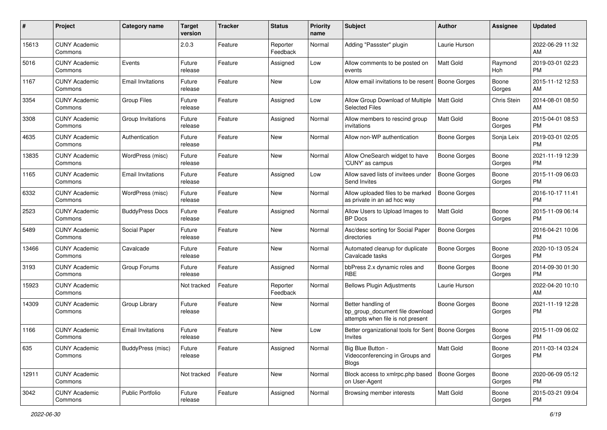| #     | Project                         | <b>Category name</b>     | <b>Target</b><br>version | <b>Tracker</b> | <b>Status</b>        | Priority<br>name | <b>Subject</b>                                                                             | <b>Author</b>       | <b>Assignee</b> | <b>Updated</b>                |
|-------|---------------------------------|--------------------------|--------------------------|----------------|----------------------|------------------|--------------------------------------------------------------------------------------------|---------------------|-----------------|-------------------------------|
| 15613 | <b>CUNY Academic</b><br>Commons |                          | 2.0.3                    | Feature        | Reporter<br>Feedback | Normal           | Adding "Passster" plugin                                                                   | Laurie Hurson       |                 | 2022-06-29 11:32<br>AM.       |
| 5016  | <b>CUNY Academic</b><br>Commons | Events                   | Future<br>release        | Feature        | Assigned             | Low              | Allow comments to be posted on<br>events                                                   | <b>Matt Gold</b>    | Raymond<br>Hoh  | 2019-03-01 02:23<br><b>PM</b> |
| 1167  | <b>CUNY Academic</b><br>Commons | <b>Email Invitations</b> | Future<br>release        | Feature        | New                  | Low              | Allow email invitations to be resent                                                       | <b>Boone Gorges</b> | Boone<br>Gorges | 2015-11-12 12:53<br>AM        |
| 3354  | <b>CUNY Academic</b><br>Commons | <b>Group Files</b>       | Future<br>release        | Feature        | Assigned             | Low              | Allow Group Download of Multiple<br><b>Selected Files</b>                                  | <b>Matt Gold</b>    | Chris Stein     | 2014-08-01 08:50<br>AM        |
| 3308  | <b>CUNY Academic</b><br>Commons | Group Invitations        | Future<br>release        | Feature        | Assigned             | Normal           | Allow members to rescind group<br>invitations                                              | <b>Matt Gold</b>    | Boone<br>Gorges | 2015-04-01 08:53<br><b>PM</b> |
| 4635  | <b>CUNY Academic</b><br>Commons | Authentication           | Future<br>release        | Feature        | New                  | Normal           | Allow non-WP authentication                                                                | Boone Gorges        | Sonja Leix      | 2019-03-01 02:05<br><b>PM</b> |
| 13835 | <b>CUNY Academic</b><br>Commons | WordPress (misc)         | Future<br>release        | Feature        | New                  | Normal           | Allow OneSearch widget to have<br>'CUNY' as campus                                         | Boone Gorges        | Boone<br>Gorges | 2021-11-19 12:39<br><b>PM</b> |
| 1165  | <b>CUNY Academic</b><br>Commons | <b>Email Invitations</b> | Future<br>release        | Feature        | Assigned             | Low              | Allow saved lists of invitees under<br>Send Invites                                        | <b>Boone Gorges</b> | Boone<br>Gorges | 2015-11-09 06:03<br>PM.       |
| 6332  | <b>CUNY Academic</b><br>Commons | WordPress (misc)         | Future<br>release        | Feature        | New                  | Normal           | Allow uploaded files to be marked<br>as private in an ad hoc way                           | Boone Gorges        |                 | 2016-10-17 11:41<br><b>PM</b> |
| 2523  | <b>CUNY Academic</b><br>Commons | <b>BuddyPress Docs</b>   | Future<br>release        | Feature        | Assigned             | Normal           | Allow Users to Upload Images to<br>BP Docs                                                 | Matt Gold           | Boone<br>Gorges | 2015-11-09 06:14<br>PM.       |
| 5489  | <b>CUNY Academic</b><br>Commons | Social Paper             | Future<br>release        | Feature        | New                  | Normal           | Asc/desc sorting for Social Paper<br>directories                                           | Boone Gorges        |                 | 2016-04-21 10:06<br><b>PM</b> |
| 13466 | <b>CUNY Academic</b><br>Commons | Cavalcade                | Future<br>release        | Feature        | New                  | Normal           | Automated cleanup for duplicate<br>Cavalcade tasks                                         | Boone Gorges        | Boone<br>Gorges | 2020-10-13 05:24<br><b>PM</b> |
| 3193  | <b>CUNY Academic</b><br>Commons | Group Forums             | Future<br>release        | Feature        | Assigned             | Normal           | bbPress 2.x dynamic roles and<br><b>RBE</b>                                                | <b>Boone Gorges</b> | Boone<br>Gorges | 2014-09-30 01:30<br><b>PM</b> |
| 15923 | <b>CUNY Academic</b><br>Commons |                          | Not tracked              | Feature        | Reporter<br>Feedback | Normal           | <b>Bellows Plugin Adjustments</b>                                                          | Laurie Hurson       |                 | 2022-04-20 10:10<br>AM.       |
| 14309 | <b>CUNY Academic</b><br>Commons | Group Library            | Future<br>release        | Feature        | New                  | Normal           | Better handling of<br>bp_group_document file download<br>attempts when file is not present | Boone Gorges        | Boone<br>Gorges | 2021-11-19 12:28<br>PM        |
| 1166  | <b>CUNY Academic</b><br>Commons | <b>Email Invitations</b> | Future<br>release        | Feature        | New                  | Low              | Better organizational tools for Sent<br>Invites                                            | <b>Boone Gorges</b> | Boone<br>Gorges | 2015-11-09 06:02<br>PM        |
| 635   | <b>CUNY Academic</b><br>Commons | BuddyPress (misc)        | Future<br>release        | Feature        | Assigned             | Normal           | Big Blue Button -<br>Videoconferencing in Groups and<br><b>Blogs</b>                       | <b>Matt Gold</b>    | Boone<br>Gorges | 2011-03-14 03:24<br>PM        |
| 12911 | <b>CUNY Academic</b><br>Commons |                          | Not tracked              | Feature        | New                  | Normal           | Block access to xmlrpc.php based<br>on User-Agent                                          | Boone Gorges        | Boone<br>Gorges | 2020-06-09 05:12<br><b>PM</b> |
| 3042  | <b>CUNY Academic</b><br>Commons | Public Portfolio         | Future<br>release        | Feature        | Assigned             | Normal           | Browsing member interests                                                                  | Matt Gold           | Boone<br>Gorges | 2015-03-21 09:04<br><b>PM</b> |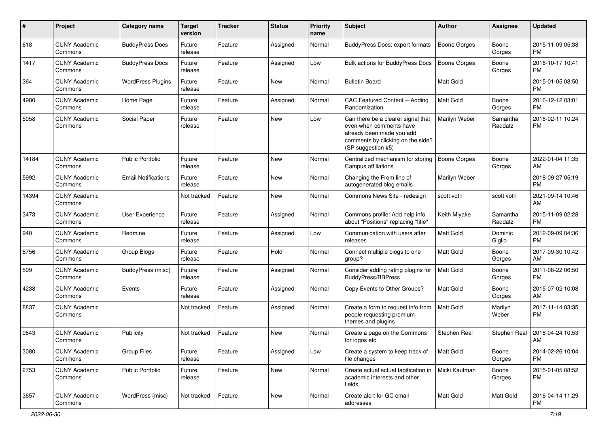| #     | Project                         | <b>Category name</b>       | <b>Target</b><br>version | <b>Tracker</b> | <b>Status</b> | <b>Priority</b><br>name | Subject                                                                                                                                               | Author              | <b>Assignee</b>     | <b>Updated</b>                |
|-------|---------------------------------|----------------------------|--------------------------|----------------|---------------|-------------------------|-------------------------------------------------------------------------------------------------------------------------------------------------------|---------------------|---------------------|-------------------------------|
| 618   | <b>CUNY Academic</b><br>Commons | <b>BuddyPress Docs</b>     | Future<br>release        | Feature        | Assigned      | Normal                  | BuddyPress Docs: export formats                                                                                                                       | <b>Boone Gorges</b> | Boone<br>Gorges     | 2015-11-09 05:38<br><b>PM</b> |
| 1417  | <b>CUNY Academic</b><br>Commons | <b>BuddyPress Docs</b>     | Future<br>release        | Feature        | Assigned      | Low                     | <b>Bulk actions for BuddyPress Docs</b>                                                                                                               | <b>Boone Gorges</b> | Boone<br>Gorges     | 2016-10-17 10:41<br><b>PM</b> |
| 364   | <b>CUNY Academic</b><br>Commons | <b>WordPress Plugins</b>   | Future<br>release        | Feature        | <b>New</b>    | Normal                  | <b>Bulletin Board</b>                                                                                                                                 | Matt Gold           |                     | 2015-01-05 08:50<br><b>PM</b> |
| 4980  | <b>CUNY Academic</b><br>Commons | Home Page                  | Future<br>release        | Feature        | Assigned      | Normal                  | CAC Featured Content -- Adding<br>Randomization                                                                                                       | <b>Matt Gold</b>    | Boone<br>Gorges     | 2016-12-12 03:01<br><b>PM</b> |
| 5058  | <b>CUNY Academic</b><br>Commons | Social Paper               | Future<br>release        | Feature        | <b>New</b>    | Low                     | Can there be a clearer signal that<br>even when comments have<br>already been made you add<br>comments by clicking on the side?<br>(SP suggestion #5) | Marilyn Weber       | Samantha<br>Raddatz | 2016-02-11 10:24<br><b>PM</b> |
| 14184 | <b>CUNY Academic</b><br>Commons | <b>Public Portfolio</b>    | Future<br>release        | Feature        | <b>New</b>    | Normal                  | Centralized mechanism for storing<br>Campus affiliations                                                                                              | <b>Boone Gorges</b> | Boone<br>Gorges     | 2022-01-04 11:35<br>AM        |
| 5992  | <b>CUNY Academic</b><br>Commons | <b>Email Notifications</b> | Future<br>release        | Feature        | <b>New</b>    | Normal                  | Changing the From line of<br>autogenerated blog emails                                                                                                | Marilyn Weber       |                     | 2018-09-27 05:19<br><b>PM</b> |
| 14394 | <b>CUNY Academic</b><br>Commons |                            | Not tracked              | Feature        | New           | Normal                  | Commons News Site - redesign                                                                                                                          | scott voth          | scott voth          | 2021-09-14 10:46<br>AM        |
| 3473  | <b>CUNY Academic</b><br>Commons | User Experience            | Future<br>release        | Feature        | Assigned      | Normal                  | Commons profile: Add help info<br>about "Positions" replacing "title"                                                                                 | Keith Miyake        | Samantha<br>Raddatz | 2015-11-09 02:28<br><b>PM</b> |
| 940   | <b>CUNY Academic</b><br>Commons | Redmine                    | Future<br>release        | Feature        | Assigned      | Low                     | Communication with users after<br>releases                                                                                                            | Matt Gold           | Dominic<br>Giglio   | 2012-09-09 04:36<br><b>PM</b> |
| 8756  | <b>CUNY Academic</b><br>Commons | Group Blogs                | Future<br>release        | Feature        | Hold          | Normal                  | Connect multiple blogs to one<br>group?                                                                                                               | Matt Gold           | Boone<br>Gorges     | 2017-09-30 10:42<br>AM        |
| 599   | <b>CUNY Academic</b><br>Commons | BuddyPress (misc)          | Future<br>release        | Feature        | Assigned      | Normal                  | Consider adding rating plugins for<br><b>BuddyPress/BBPress</b>                                                                                       | Matt Gold           | Boone<br>Gorges     | 2011-08-22 06:50<br><b>PM</b> |
| 4238  | <b>CUNY Academic</b><br>Commons | Events                     | Future<br>release        | Feature        | Assigned      | Normal                  | Copy Events to Other Groups?                                                                                                                          | Matt Gold           | Boone<br>Gorges     | 2015-07-02 10:08<br>AM        |
| 8837  | <b>CUNY Academic</b><br>Commons |                            | Not tracked              | Feature        | Assigned      | Normal                  | Create a form to request info from<br>people requesting premium<br>themes and plugins                                                                 | <b>Matt Gold</b>    | Marilyn<br>Weber    | 2017-11-14 03:35<br><b>PM</b> |
| 9643  | <b>CUNY Academic</b><br>Commons | Publicity                  | Not tracked              | Feature        | New           | Normal                  | Create a page on the Commons<br>for logos etc.                                                                                                        | Stephen Real        | Stephen Real        | 2018-04-24 10:53<br>AM        |
| 3080  | <b>CUNY Academic</b><br>Commons | <b>Group Files</b>         | Future<br>release        | Feature        | Assigned      | Low                     | Create a system to keep track of<br>file changes                                                                                                      | Matt Gold           | Boone<br>Gorges     | 2014-02-26 10:04<br><b>PM</b> |
| 2753  | <b>CUNY Academic</b><br>Commons | <b>Public Portfolio</b>    | Future<br>release        | Feature        | New           | Normal                  | Create actual actual tagification in<br>academic interests and other<br>fields                                                                        | Micki Kaufman       | Boone<br>Gorges     | 2015-01-05 08:52<br><b>PM</b> |
| 3657  | <b>CUNY Academic</b><br>Commons | WordPress (misc)           | Not tracked              | Feature        | New           | Normal                  | Create alert for GC email<br>addresses                                                                                                                | Matt Gold           | Matt Gold           | 2016-04-14 11:29<br>PM        |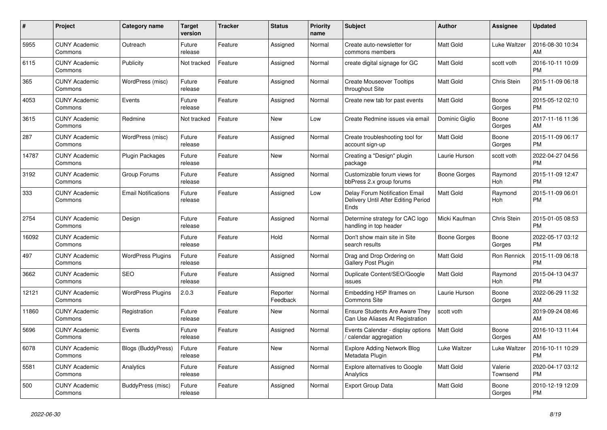| #     | Project                         | <b>Category name</b>       | <b>Target</b><br>version | <b>Tracker</b> | <b>Status</b>        | <b>Priority</b><br>name | <b>Subject</b>                                                                | <b>Author</b>    | <b>Assignee</b>     | <b>Updated</b>                |
|-------|---------------------------------|----------------------------|--------------------------|----------------|----------------------|-------------------------|-------------------------------------------------------------------------------|------------------|---------------------|-------------------------------|
| 5955  | <b>CUNY Academic</b><br>Commons | Outreach                   | Future<br>release        | Feature        | Assigned             | Normal                  | Create auto-newsletter for<br>commons members                                 | <b>Matt Gold</b> | Luke Waltzer        | 2016-08-30 10:34<br>AM        |
| 6115  | <b>CUNY Academic</b><br>Commons | Publicity                  | Not tracked              | Feature        | Assigned             | Normal                  | create digital signage for GC                                                 | <b>Matt Gold</b> | scott voth          | 2016-10-11 10:09<br><b>PM</b> |
| 365   | <b>CUNY Academic</b><br>Commons | WordPress (misc)           | Future<br>release        | Feature        | Assigned             | Normal                  | <b>Create Mouseover Tooltips</b><br>throughout Site                           | <b>Matt Gold</b> | Chris Stein         | 2015-11-09 06:18<br><b>PM</b> |
| 4053  | <b>CUNY Academic</b><br>Commons | Events                     | Future<br>release        | Feature        | Assigned             | Normal                  | Create new tab for past events                                                | <b>Matt Gold</b> | Boone<br>Gorges     | 2015-05-12 02:10<br><b>PM</b> |
| 3615  | <b>CUNY Academic</b><br>Commons | Redmine                    | Not tracked              | Feature        | New                  | Low                     | Create Redmine issues via email                                               | Dominic Giglio   | Boone<br>Gorges     | 2017-11-16 11:36<br>AM        |
| 287   | <b>CUNY Academic</b><br>Commons | WordPress (misc)           | Future<br>release        | Feature        | Assigned             | Normal                  | Create troubleshooting tool for<br>account sign-up                            | <b>Matt Gold</b> | Boone<br>Gorges     | 2015-11-09 06:17<br><b>PM</b> |
| 14787 | <b>CUNY Academic</b><br>Commons | Plugin Packages            | Future<br>release        | Feature        | <b>New</b>           | Normal                  | Creating a "Design" plugin<br>package                                         | Laurie Hurson    | scott voth          | 2022-04-27 04:56<br><b>PM</b> |
| 3192  | <b>CUNY Academic</b><br>Commons | Group Forums               | Future<br>release        | Feature        | Assigned             | Normal                  | Customizable forum views for<br>bbPress 2.x group forums                      | Boone Gorges     | Raymond<br>Hoh      | 2015-11-09 12:47<br><b>PM</b> |
| 333   | <b>CUNY Academic</b><br>Commons | <b>Email Notifications</b> | Future<br>release        | Feature        | Assigned             | Low                     | Delay Forum Notification Email<br>Delivery Until After Editing Period<br>Ends | Matt Gold        | Raymond<br>Hoh      | 2015-11-09 06:01<br><b>PM</b> |
| 2754  | <b>CUNY Academic</b><br>Commons | Design                     | Future<br>release        | Feature        | Assigned             | Normal                  | Determine strategy for CAC logo<br>handling in top header                     | Micki Kaufman    | Chris Stein         | 2015-01-05 08:53<br><b>PM</b> |
| 16092 | <b>CUNY Academic</b><br>Commons |                            | Future<br>release        | Feature        | Hold                 | Normal                  | Don't show main site in Site<br>search results                                | Boone Gorges     | Boone<br>Gorges     | 2022-05-17 03:12<br><b>PM</b> |
| 497   | <b>CUNY Academic</b><br>Commons | <b>WordPress Plugins</b>   | Future<br>release        | Feature        | Assigned             | Normal                  | Drag and Drop Ordering on<br><b>Gallery Post Plugin</b>                       | <b>Matt Gold</b> | Ron Rennick         | 2015-11-09 06:18<br><b>PM</b> |
| 3662  | <b>CUNY Academic</b><br>Commons | <b>SEO</b>                 | Future<br>release        | Feature        | Assigned             | Normal                  | Duplicate Content/SEO/Google<br>issues                                        | <b>Matt Gold</b> | Raymond<br>Hoh      | 2015-04-13 04:37<br><b>PM</b> |
| 12121 | <b>CUNY Academic</b><br>Commons | <b>WordPress Plugins</b>   | 2.0.3                    | Feature        | Reporter<br>Feedback | Normal                  | Embedding H5P Iframes on<br><b>Commons Site</b>                               | Laurie Hurson    | Boone<br>Gorges     | 2022-06-29 11:32<br>AM        |
| 11860 | <b>CUNY Academic</b><br>Commons | Registration               | Future<br>release        | Feature        | New                  | Normal                  | <b>Ensure Students Are Aware They</b><br>Can Use Aliases At Registration      | scott voth       |                     | 2019-09-24 08:46<br>AM        |
| 5696  | <b>CUNY Academic</b><br>Commons | Events                     | Future<br>release        | Feature        | Assigned             | Normal                  | Events Calendar - display options<br>/ calendar aggregation                   | <b>Matt Gold</b> | Boone<br>Gorges     | 2016-10-13 11:44<br>AM        |
| 6078  | <b>CUNY Academic</b><br>Commons | Blogs (BuddyPress)         | Future<br>release        | Feature        | <b>New</b>           | Normal                  | <b>Explore Adding Network Blog</b><br>Metadata Plugin                         | Luke Waltzer     | Luke Waltzer        | 2016-10-11 10:29<br><b>PM</b> |
| 5581  | <b>CUNY Academic</b><br>Commons | Analytics                  | Future<br>release        | Feature        | Assigned             | Normal                  | <b>Explore alternatives to Google</b><br>Analytics                            | <b>Matt Gold</b> | Valerie<br>Townsend | 2020-04-17 03:12<br><b>PM</b> |
| 500   | <b>CUNY Academic</b><br>Commons | BuddyPress (misc)          | Future<br>release        | Feature        | Assigned             | Normal                  | <b>Export Group Data</b>                                                      | <b>Matt Gold</b> | Boone<br>Gorges     | 2010-12-19 12:09<br><b>PM</b> |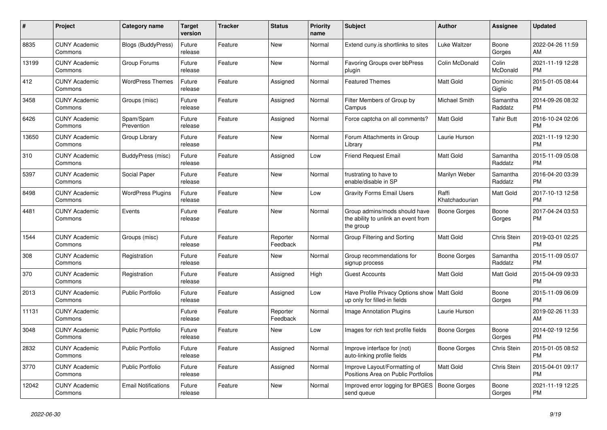| $\#$  | Project                         | <b>Category name</b>       | <b>Target</b><br>version | <b>Tracker</b> | <b>Status</b>        | Priority<br>name | <b>Subject</b>                                                                    | <b>Author</b>           | <b>Assignee</b>     | <b>Updated</b>                |
|-------|---------------------------------|----------------------------|--------------------------|----------------|----------------------|------------------|-----------------------------------------------------------------------------------|-------------------------|---------------------|-------------------------------|
| 8835  | <b>CUNY Academic</b><br>Commons | Blogs (BuddyPress)         | Future<br>release        | Feature        | New                  | Normal           | Extend cuny is shortlinks to sites                                                | Luke Waltzer            | Boone<br>Gorges     | 2022-04-26 11:59<br>AM        |
| 13199 | <b>CUNY Academic</b><br>Commons | Group Forums               | Future<br>release        | Feature        | New                  | Normal           | Favoring Groups over bbPress<br>plugin                                            | Colin McDonald          | Colin<br>McDonald   | 2021-11-19 12:28<br><b>PM</b> |
| 412   | <b>CUNY Academic</b><br>Commons | <b>WordPress Themes</b>    | Future<br>release        | Feature        | Assigned             | Normal           | <b>Featured Themes</b>                                                            | Matt Gold               | Dominic<br>Giglio   | 2015-01-05 08:44<br><b>PM</b> |
| 3458  | <b>CUNY Academic</b><br>Commons | Groups (misc)              | Future<br>release        | Feature        | Assigned             | Normal           | Filter Members of Group by<br>Campus                                              | Michael Smith           | Samantha<br>Raddatz | 2014-09-26 08:32<br><b>PM</b> |
| 6426  | <b>CUNY Academic</b><br>Commons | Spam/Spam<br>Prevention    | Future<br>release        | Feature        | Assigned             | Normal           | Force captcha on all comments?                                                    | Matt Gold               | <b>Tahir Butt</b>   | 2016-10-24 02:06<br><b>PM</b> |
| 13650 | <b>CUNY Academic</b><br>Commons | Group Library              | Future<br>release        | Feature        | New                  | Normal           | Forum Attachments in Group<br>Library                                             | Laurie Hurson           |                     | 2021-11-19 12:30<br><b>PM</b> |
| 310   | <b>CUNY Academic</b><br>Commons | BuddyPress (misc)          | Future<br>release        | Feature        | Assigned             | Low              | <b>Friend Request Email</b>                                                       | <b>Matt Gold</b>        | Samantha<br>Raddatz | 2015-11-09 05:08<br><b>PM</b> |
| 5397  | <b>CUNY Academic</b><br>Commons | Social Paper               | Future<br>release        | Feature        | <b>New</b>           | Normal           | frustrating to have to<br>enable/disable in SP                                    | Marilyn Weber           | Samantha<br>Raddatz | 2016-04-20 03:39<br><b>PM</b> |
| 8498  | <b>CUNY Academic</b><br>Commons | <b>WordPress Plugins</b>   | Future<br>release        | Feature        | New                  | Low              | <b>Gravity Forms Email Users</b>                                                  | Raffi<br>Khatchadourian | Matt Gold           | 2017-10-13 12:58<br><b>PM</b> |
| 4481  | <b>CUNY Academic</b><br>Commons | Events                     | Future<br>release        | Feature        | New                  | Normal           | Group admins/mods should have<br>the ability to unlink an event from<br>the group | <b>Boone Gorges</b>     | Boone<br>Gorges     | 2017-04-24 03:53<br><b>PM</b> |
| 1544  | <b>CUNY Academic</b><br>Commons | Groups (misc)              | Future<br>release        | Feature        | Reporter<br>Feedback | Normal           | Group Filtering and Sorting                                                       | Matt Gold               | Chris Stein         | 2019-03-01 02:25<br><b>PM</b> |
| 308   | <b>CUNY Academic</b><br>Commons | Registration               | Future<br>release        | Feature        | New                  | Normal           | Group recommendations for<br>signup process                                       | Boone Gorges            | Samantha<br>Raddatz | 2015-11-09 05:07<br><b>PM</b> |
| 370   | <b>CUNY Academic</b><br>Commons | Registration               | Future<br>release        | Feature        | Assigned             | High             | <b>Guest Accounts</b>                                                             | <b>Matt Gold</b>        | Matt Gold           | 2015-04-09 09:33<br><b>PM</b> |
| 2013  | <b>CUNY Academic</b><br>Commons | <b>Public Portfolio</b>    | Future<br>release        | Feature        | Assigned             | Low              | Have Profile Privacy Options show<br>up only for filled-in fields                 | Matt Gold               | Boone<br>Gorges     | 2015-11-09 06:09<br><b>PM</b> |
| 11131 | <b>CUNY Academic</b><br>Commons |                            | Future<br>release        | Feature        | Reporter<br>Feedback | Normal           | Image Annotation Plugins                                                          | Laurie Hurson           |                     | 2019-02-26 11:33<br>AM        |
| 3048  | <b>CUNY Academic</b><br>Commons | <b>Public Portfolio</b>    | Future<br>release        | Feature        | <b>New</b>           | Low              | Images for rich text profile fields                                               | Boone Gorges            | Boone<br>Gorges     | 2014-02-19 12:56<br><b>PM</b> |
| 2832  | <b>CUNY Academic</b><br>Commons | <b>Public Portfolio</b>    | Future<br>release        | Feature        | Assigned             | Normal           | Improve interface for (not)<br>auto-linking profile fields                        | Boone Gorges            | Chris Stein         | 2015-01-05 08:52<br><b>PM</b> |
| 3770  | <b>CUNY Academic</b><br>Commons | <b>Public Portfolio</b>    | Future<br>release        | Feature        | Assigned             | Normal           | Improve Layout/Formatting of<br>Positions Area on Public Portfolios               | <b>Matt Gold</b>        | Chris Stein         | 2015-04-01 09:17<br><b>PM</b> |
| 12042 | <b>CUNY Academic</b><br>Commons | <b>Email Notifications</b> | Future<br>release        | Feature        | <b>New</b>           | Normal           | Improved error logging for BPGES<br>send queue                                    | Boone Gorges            | Boone<br>Gorges     | 2021-11-19 12:25<br><b>PM</b> |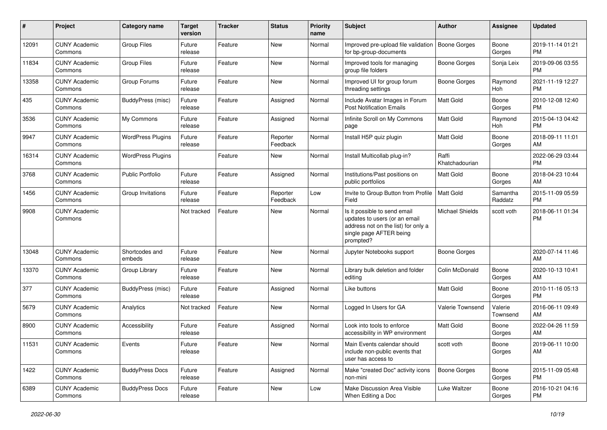| #     | Project                         | <b>Category name</b>     | <b>Target</b><br>version | <b>Tracker</b> | <b>Status</b>        | Priority<br>name | <b>Subject</b>                                                                                                                               | Author                  | <b>Assignee</b>     | <b>Updated</b>                |
|-------|---------------------------------|--------------------------|--------------------------|----------------|----------------------|------------------|----------------------------------------------------------------------------------------------------------------------------------------------|-------------------------|---------------------|-------------------------------|
| 12091 | <b>CUNY Academic</b><br>Commons | <b>Group Files</b>       | Future<br>release        | Feature        | <b>New</b>           | Normal           | Improved pre-upload file validation<br>for bp-group-documents                                                                                | Boone Gorges            | Boone<br>Gorges     | 2019-11-14 01:21<br>PM.       |
| 11834 | <b>CUNY Academic</b><br>Commons | <b>Group Files</b>       | Future<br>release        | Feature        | New                  | Normal           | Improved tools for managing<br>aroup file folders                                                                                            | <b>Boone Gorges</b>     | Sonja Leix          | 2019-09-06 03:55<br><b>PM</b> |
| 13358 | <b>CUNY Academic</b><br>Commons | Group Forums             | Future<br>release        | Feature        | New                  | Normal           | Improved UI for group forum<br>threading settings                                                                                            | Boone Gorges            | Raymond<br>Hoh      | 2021-11-19 12:27<br><b>PM</b> |
| 435   | <b>CUNY Academic</b><br>Commons | BuddyPress (misc)        | Future<br>release        | Feature        | Assigned             | Normal           | Include Avatar Images in Forum<br><b>Post Notification Emails</b>                                                                            | Matt Gold               | Boone<br>Gorges     | 2010-12-08 12:40<br><b>PM</b> |
| 3536  | <b>CUNY Academic</b><br>Commons | My Commons               | Future<br>release        | Feature        | Assigned             | Normal           | Infinite Scroll on My Commons<br>page                                                                                                        | <b>Matt Gold</b>        | Raymond<br>Hoh      | 2015-04-13 04:42<br><b>PM</b> |
| 9947  | <b>CUNY Academic</b><br>Commons | <b>WordPress Plugins</b> | Future<br>release        | Feature        | Reporter<br>Feedback | Normal           | Install H5P quiz plugin                                                                                                                      | Matt Gold               | Boone<br>Gorges     | 2018-09-11 11:01<br>AM        |
| 16314 | <b>CUNY Academic</b><br>Commons | <b>WordPress Plugins</b> |                          | Feature        | New                  | Normal           | Install Multicollab plug-in?                                                                                                                 | Raffi<br>Khatchadourian |                     | 2022-06-29 03:44<br><b>PM</b> |
| 3768  | <b>CUNY Academic</b><br>Commons | <b>Public Portfolio</b>  | Future<br>release        | Feature        | Assigned             | Normal           | Institutions/Past positions on<br>public portfolios                                                                                          | <b>Matt Gold</b>        | Boone<br>Gorges     | 2018-04-23 10:44<br>AM.       |
| 1456  | <b>CUNY Academic</b><br>Commons | Group Invitations        | Future<br>release        | Feature        | Reporter<br>Feedback | Low              | Invite to Group Button from Profile<br>Field                                                                                                 | Matt Gold               | Samantha<br>Raddatz | 2015-11-09 05:59<br><b>PM</b> |
| 9908  | <b>CUNY Academic</b><br>Commons |                          | Not tracked              | Feature        | <b>New</b>           | Normal           | Is it possible to send email<br>updates to users (or an email<br>address not on the list) for only a<br>single page AFTER being<br>prompted? | <b>Michael Shields</b>  | scott voth          | 2018-06-11 01:34<br>PM.       |
| 13048 | <b>CUNY Academic</b><br>Commons | Shortcodes and<br>embeds | Future<br>release        | Feature        | New                  | Normal           | Jupyter Notebooks support                                                                                                                    | Boone Gorges            |                     | 2020-07-14 11:46<br>AM.       |
| 13370 | <b>CUNY Academic</b><br>Commons | Group Library            | Future<br>release        | Feature        | New                  | Normal           | Library bulk deletion and folder<br>editing                                                                                                  | Colin McDonald          | Boone<br>Gorges     | 2020-10-13 10:41<br>AM        |
| 377   | <b>CUNY Academic</b><br>Commons | <b>BuddyPress (misc)</b> | Future<br>release        | Feature        | Assigned             | Normal           | Like buttons                                                                                                                                 | <b>Matt Gold</b>        | Boone<br>Gorges     | 2010-11-16 05:13<br><b>PM</b> |
| 5679  | <b>CUNY Academic</b><br>Commons | Analytics                | Not tracked              | Feature        | <b>New</b>           | Normal           | Logged In Users for GA                                                                                                                       | Valerie Townsend        | Valerie<br>Townsend | 2016-06-11 09:49<br>AM        |
| 8900  | <b>CUNY Academic</b><br>Commons | Accessibility            | Future<br>release        | Feature        | Assigned             | Normal           | Look into tools to enforce<br>accessibility in WP environment                                                                                | Matt Gold               | Boone<br>Gorges     | 2022-04-26 11:59<br>AM.       |
| 11531 | <b>CUNY Academic</b><br>Commons | Events                   | Future<br>release        | Feature        | New                  | Normal           | Main Events calendar should<br>include non-public events that<br>user has access to                                                          | scott voth              | Boone<br>Gorges     | 2019-06-11 10:00<br>AM        |
| 1422  | <b>CUNY Academic</b><br>Commons | <b>BuddyPress Docs</b>   | Future<br>release        | Feature        | Assigned             | Normal           | Make "created Doc" activity icons<br>non-mini                                                                                                | <b>Boone Gorges</b>     | Boone<br>Gorges     | 2015-11-09 05:48<br><b>PM</b> |
| 6389  | <b>CUNY Academic</b><br>Commons | <b>BuddyPress Docs</b>   | Future<br>release        | Feature        | New                  | Low              | Make Discussion Area Visible<br>When Editing a Doc                                                                                           | Luke Waltzer            | Boone<br>Gorges     | 2016-10-21 04:16<br><b>PM</b> |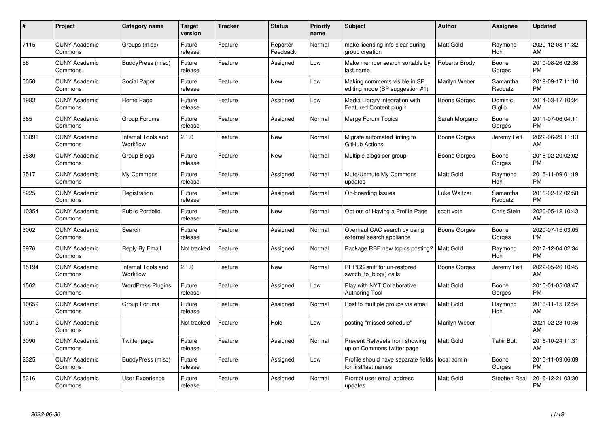| $\#$  | Project                         | <b>Category name</b>           | <b>Target</b><br>version | <b>Tracker</b> | <b>Status</b>        | Priority<br>name | <b>Subject</b>                                                   | <b>Author</b>    | <b>Assignee</b>     | <b>Updated</b>                |
|-------|---------------------------------|--------------------------------|--------------------------|----------------|----------------------|------------------|------------------------------------------------------------------|------------------|---------------------|-------------------------------|
| 7115  | <b>CUNY Academic</b><br>Commons | Groups (misc)                  | Future<br>release        | Feature        | Reporter<br>Feedback | Normal           | make licensing info clear during<br>group creation               | <b>Matt Gold</b> | Raymond<br>Hoh      | 2020-12-08 11:32<br>AM        |
| 58    | <b>CUNY Academic</b><br>Commons | BuddyPress (misc)              | Future<br>release        | Feature        | Assigned             | Low              | Make member search sortable by<br>last name                      | Roberta Brody    | Boone<br>Gorges     | 2010-08-26 02:38<br><b>PM</b> |
| 5050  | <b>CUNY Academic</b><br>Commons | Social Paper                   | Future<br>release        | Feature        | <b>New</b>           | Low              | Making comments visible in SP<br>editing mode (SP suggestion #1) | Marilyn Weber    | Samantha<br>Raddatz | 2019-09-17 11:10<br><b>PM</b> |
| 1983  | <b>CUNY Academic</b><br>Commons | Home Page                      | Future<br>release        | Feature        | Assigned             | Low              | Media Library integration with<br>Featured Content plugin        | Boone Gorges     | Dominic<br>Giglio   | 2014-03-17 10:34<br>AM        |
| 585   | <b>CUNY Academic</b><br>Commons | Group Forums                   | Future<br>release        | Feature        | Assigned             | Normal           | Merge Forum Topics                                               | Sarah Morgano    | Boone<br>Gorges     | 2011-07-06 04:11<br><b>PM</b> |
| 13891 | <b>CUNY Academic</b><br>Commons | Internal Tools and<br>Workflow | 2.1.0                    | Feature        | <b>New</b>           | Normal           | Migrate automated linting to<br>GitHub Actions                   | Boone Gorges     | Jeremy Felt         | 2022-06-29 11:13<br>AM        |
| 3580  | <b>CUNY Academic</b><br>Commons | Group Blogs                    | Future<br>release        | Feature        | New                  | Normal           | Multiple blogs per group                                         | Boone Gorges     | Boone<br>Gorges     | 2018-02-20 02:02<br><b>PM</b> |
| 3517  | <b>CUNY Academic</b><br>Commons | My Commons                     | Future<br>release        | Feature        | Assigned             | Normal           | Mute/Unmute My Commons<br>updates                                | <b>Matt Gold</b> | Raymond<br>Hoh      | 2015-11-09 01:19<br><b>PM</b> |
| 5225  | <b>CUNY Academic</b><br>Commons | Registration                   | Future<br>release        | Feature        | Assigned             | Normal           | On-boarding Issues                                               | Luke Waltzer     | Samantha<br>Raddatz | 2016-02-12 02:58<br><b>PM</b> |
| 10354 | <b>CUNY Academic</b><br>Commons | <b>Public Portfolio</b>        | Future<br>release        | Feature        | New                  | Normal           | Opt out of Having a Profile Page                                 | scott voth       | Chris Stein         | 2020-05-12 10:43<br>AM        |
| 3002  | <b>CUNY Academic</b><br>Commons | Search                         | Future<br>release        | Feature        | Assigned             | Normal           | Overhaul CAC search by using<br>external search appliance        | Boone Gorges     | Boone<br>Gorges     | 2020-07-15 03:05<br><b>PM</b> |
| 8976  | <b>CUNY Academic</b><br>Commons | Reply By Email                 | Not tracked              | Feature        | Assigned             | Normal           | Package RBE new topics posting?                                  | <b>Matt Gold</b> | Raymond<br>Hoh      | 2017-12-04 02:34<br><b>PM</b> |
| 15194 | <b>CUNY Academic</b><br>Commons | Internal Tools and<br>Workflow | 2.1.0                    | Feature        | New                  | Normal           | PHPCS sniff for un-restored<br>switch_to_blog() calls            | Boone Gorges     | Jeremy Felt         | 2022-05-26 10:45<br>AM        |
| 1562  | <b>CUNY Academic</b><br>Commons | <b>WordPress Plugins</b>       | Future<br>release        | Feature        | Assigned             | Low              | Play with NYT Collaborative<br>Authoring Tool                    | Matt Gold        | Boone<br>Gorges     | 2015-01-05 08:47<br><b>PM</b> |
| 10659 | <b>CUNY Academic</b><br>Commons | Group Forums                   | Future<br>release        | Feature        | Assigned             | Normal           | Post to multiple groups via email                                | <b>Matt Gold</b> | Raymond<br>Hoh      | 2018-11-15 12:54<br>AM        |
| 13912 | <b>CUNY Academic</b><br>Commons |                                | Not tracked              | Feature        | Hold                 | Low              | posting "missed schedule"                                        | Marilyn Weber    |                     | 2021-02-23 10:46<br>AM        |
| 3090  | <b>CUNY Academic</b><br>Commons | Twitter page                   | Future<br>release        | Feature        | Assigned             | Normal           | Prevent Retweets from showing<br>up on Commons twitter page      | <b>Matt Gold</b> | <b>Tahir Butt</b>   | 2016-10-24 11:31<br>AM        |
| 2325  | <b>CUNY Academic</b><br>Commons | BuddyPress (misc)              | Future<br>release        | Feature        | Assigned             | Low              | Profile should have separate fields<br>for first/last names      | local admin      | Boone<br>Gorges     | 2015-11-09 06:09<br><b>PM</b> |
| 5316  | CUNY Academic<br>Commons        | User Experience                | Future<br>release        | Feature        | Assigned             | Normal           | Prompt user email address<br>updates                             | <b>Matt Gold</b> | Stephen Real        | 2016-12-21 03:30<br><b>PM</b> |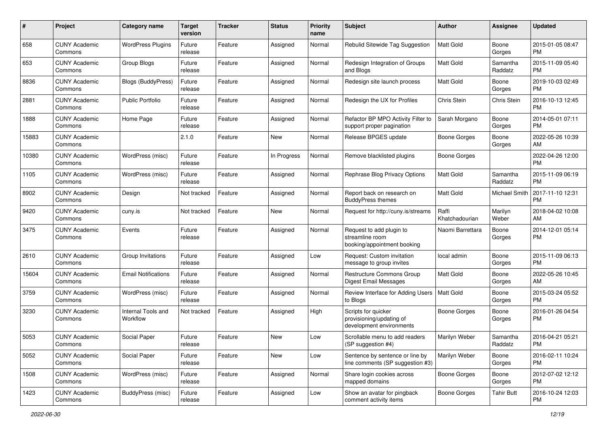| #     | Project                         | <b>Category name</b>           | <b>Target</b><br>version | <b>Tracker</b> | <b>Status</b> | <b>Priority</b><br>name | <b>Subject</b>                                                              | <b>Author</b>           | Assignee            | <b>Updated</b>                |
|-------|---------------------------------|--------------------------------|--------------------------|----------------|---------------|-------------------------|-----------------------------------------------------------------------------|-------------------------|---------------------|-------------------------------|
| 658   | <b>CUNY Academic</b><br>Commons | <b>WordPress Plugins</b>       | Future<br>release        | Feature        | Assigned      | Normal                  | Rebulid Sitewide Tag Suggestion                                             | <b>Matt Gold</b>        | Boone<br>Gorges     | 2015-01-05 08:47<br>PM.       |
| 653   | <b>CUNY Academic</b><br>Commons | Group Blogs                    | Future<br>release        | Feature        | Assigned      | Normal                  | Redesign Integration of Groups<br>and Blogs                                 | Matt Gold               | Samantha<br>Raddatz | 2015-11-09 05:40<br><b>PM</b> |
| 8836  | CUNY Academic<br>Commons        | Blogs (BuddyPress)             | Future<br>release        | Feature        | Assigned      | Normal                  | Redesign site launch process                                                | <b>Matt Gold</b>        | Boone<br>Gorges     | 2019-10-03 02:49<br><b>PM</b> |
| 2881  | <b>CUNY Academic</b><br>Commons | <b>Public Portfolio</b>        | Future<br>release        | Feature        | Assigned      | Normal                  | Redesign the UX for Profiles                                                | Chris Stein             | Chris Stein         | 2016-10-13 12:45<br><b>PM</b> |
| 1888  | <b>CUNY Academic</b><br>Commons | Home Page                      | Future<br>release        | Feature        | Assigned      | Normal                  | Refactor BP MPO Activity Filter to<br>support proper pagination             | Sarah Morgano           | Boone<br>Gorges     | 2014-05-01 07:11<br><b>PM</b> |
| 15883 | <b>CUNY Academic</b><br>Commons |                                | 2.1.0                    | Feature        | New           | Normal                  | Release BPGES update                                                        | Boone Gorges            | Boone<br>Gorges     | 2022-05-26 10:39<br>AM        |
| 10380 | <b>CUNY Academic</b><br>Commons | WordPress (misc)               | Future<br>release        | Feature        | In Progress   | Normal                  | Remove blacklisted plugins                                                  | Boone Gorges            |                     | 2022-04-26 12:00<br><b>PM</b> |
| 1105  | <b>CUNY Academic</b><br>Commons | WordPress (misc)               | Future<br>release        | Feature        | Assigned      | Normal                  | Rephrase Blog Privacy Options                                               | <b>Matt Gold</b>        | Samantha<br>Raddatz | 2015-11-09 06:19<br>PM.       |
| 8902  | <b>CUNY Academic</b><br>Commons | Design                         | Not tracked              | Feature        | Assigned      | Normal                  | Report back on research on<br><b>BuddyPress themes</b>                      | Matt Gold               | Michael Smith       | 2017-11-10 12:31<br><b>PM</b> |
| 9420  | CUNY Academic<br>Commons        | cuny.is                        | Not tracked              | Feature        | New           | Normal                  | Request for http://cuny.is/streams                                          | Raffi<br>Khatchadourian | Marilyn<br>Weber    | 2018-04-02 10:08<br>AM        |
| 3475  | <b>CUNY Academic</b><br>Commons | Events                         | Future<br>release        | Feature        | Assigned      | Normal                  | Request to add plugin to<br>streamline room<br>booking/appointment booking  | Naomi Barrettara        | Boone<br>Gorges     | 2014-12-01 05:14<br>PM        |
| 2610  | <b>CUNY Academic</b><br>Commons | Group Invitations              | Future<br>release        | Feature        | Assigned      | Low                     | Request: Custom invitation<br>message to group invites                      | local admin             | Boone<br>Gorges     | 2015-11-09 06:13<br>PM.       |
| 15604 | <b>CUNY Academic</b><br>Commons | <b>Email Notifications</b>     | Future<br>release        | Feature        | Assigned      | Normal                  | Restructure Commons Group<br>Digest Email Messages                          | <b>Matt Gold</b>        | Boone<br>Gorges     | 2022-05-26 10:45<br>AM        |
| 3759  | <b>CUNY Academic</b><br>Commons | WordPress (misc)               | Future<br>release        | Feature        | Assigned      | Normal                  | Review Interface for Adding Users<br>to Blogs                               | Matt Gold               | Boone<br>Gorges     | 2015-03-24 05:52<br><b>PM</b> |
| 3230  | CUNY Academic<br>Commons        | Internal Tools and<br>Workflow | Not tracked              | Feature        | Assigned      | High                    | Scripts for quicker<br>provisioning/updating of<br>development environments | Boone Gorges            | Boone<br>Gorges     | 2016-01-26 04:54<br><b>PM</b> |
| 5053  | CUNY Academic<br>Commons        | Social Paper                   | Future<br>release        | Feature        | New           | Low                     | Scrollable menu to add readers<br>(SP suggestion #4)                        | Marilyn Weber           | Samantha<br>Raddatz | 2016-04-21 05:21<br>PM        |
| 5052  | <b>CUNY Academic</b><br>Commons | Social Paper                   | Future<br>release        | Feature        | New           | Low                     | Sentence by sentence or line by<br>line comments (SP suggestion #3)         | Marilyn Weber           | Boone<br>Gorges     | 2016-02-11 10:24<br><b>PM</b> |
| 1508  | <b>CUNY Academic</b><br>Commons | WordPress (misc)               | Future<br>release        | Feature        | Assigned      | Normal                  | Share login cookies across<br>mapped domains                                | Boone Gorges            | Boone<br>Gorges     | 2012-07-02 12:12<br><b>PM</b> |
| 1423  | <b>CUNY Academic</b><br>Commons | BuddyPress (misc)              | Future<br>release        | Feature        | Assigned      | Low                     | Show an avatar for pingback<br>comment activity items                       | Boone Gorges            | <b>Tahir Butt</b>   | 2016-10-24 12:03<br>PM        |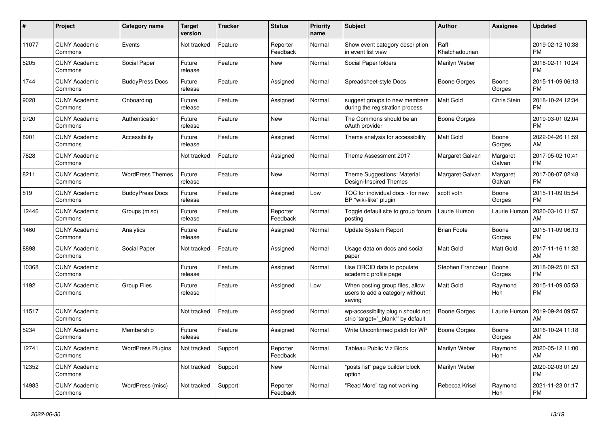| #     | Project                         | <b>Category name</b>     | <b>Target</b><br>version | <b>Tracker</b> | <b>Status</b>        | <b>Priority</b><br>name | <b>Subject</b>                                                               | <b>Author</b>           | Assignee           | <b>Updated</b>                |
|-------|---------------------------------|--------------------------|--------------------------|----------------|----------------------|-------------------------|------------------------------------------------------------------------------|-------------------------|--------------------|-------------------------------|
| 11077 | <b>CUNY Academic</b><br>Commons | Events                   | Not tracked              | Feature        | Reporter<br>Feedback | Normal                  | Show event category description<br>in event list view                        | Raffi<br>Khatchadourian |                    | 2019-02-12 10:38<br><b>PM</b> |
| 5205  | <b>CUNY Academic</b><br>Commons | Social Paper             | Future<br>release        | Feature        | New                  | Normal                  | Social Paper folders                                                         | Marilyn Weber           |                    | 2016-02-11 10:24<br><b>PM</b> |
| 1744  | <b>CUNY Academic</b><br>Commons | <b>BuddyPress Docs</b>   | Future<br>release        | Feature        | Assigned             | Normal                  | Spreadsheet-style Docs                                                       | Boone Gorges            | Boone<br>Gorges    | 2015-11-09 06:13<br><b>PM</b> |
| 9028  | <b>CUNY Academic</b><br>Commons | Onboarding               | Future<br>release        | Feature        | Assigned             | Normal                  | suggest groups to new members<br>during the registration process             | Matt Gold               | Chris Stein        | 2018-10-24 12:34<br><b>PM</b> |
| 9720  | <b>CUNY Academic</b><br>Commons | Authentication           | Future<br>release        | Feature        | New                  | Normal                  | The Commons should be an<br>oAuth provider                                   | Boone Gorges            |                    | 2019-03-01 02:04<br><b>PM</b> |
| 8901  | <b>CUNY Academic</b><br>Commons | Accessibility            | Future<br>release        | Feature        | Assigned             | Normal                  | Theme analysis for accessibility                                             | Matt Gold               | Boone<br>Gorges    | 2022-04-26 11:59<br>AM        |
| 7828  | <b>CUNY Academic</b><br>Commons |                          | Not tracked              | Feature        | Assigned             | Normal                  | Theme Assessment 2017                                                        | Margaret Galvan         | Margaret<br>Galvan | 2017-05-02 10:41<br><b>PM</b> |
| 8211  | <b>CUNY Academic</b><br>Commons | <b>WordPress Themes</b>  | Future<br>release        | Feature        | <b>New</b>           | Normal                  | Theme Suggestions: Material<br>Design-Inspired Themes                        | Margaret Galvan         | Margaret<br>Galvan | 2017-08-07 02:48<br><b>PM</b> |
| 519   | <b>CUNY Academic</b><br>Commons | <b>BuddyPress Docs</b>   | Future<br>release        | Feature        | Assigned             | Low                     | TOC for individual docs - for new<br>BP "wiki-like" plugin                   | scott voth              | Boone<br>Gorges    | 2015-11-09 05:54<br><b>PM</b> |
| 12446 | <b>CUNY Academic</b><br>Commons | Groups (misc)            | Future<br>release        | Feature        | Reporter<br>Feedback | Normal                  | Toggle default site to group forum<br>posting                                | Laurie Hurson           | Laurie Hurson      | 2020-03-10 11:57<br>AM        |
| 1460  | <b>CUNY Academic</b><br>Commons | Analytics                | Future<br>release        | Feature        | Assigned             | Normal                  | <b>Update System Report</b>                                                  | <b>Brian Foote</b>      | Boone<br>Gorges    | 2015-11-09 06:13<br><b>PM</b> |
| 8898  | <b>CUNY Academic</b><br>Commons | Social Paper             | Not tracked              | Feature        | Assigned             | Normal                  | Usage data on docs and social<br>paper                                       | Matt Gold               | Matt Gold          | 2017-11-16 11:32<br>AM        |
| 10368 | <b>CUNY Academic</b><br>Commons |                          | Future<br>release        | Feature        | Assigned             | Normal                  | Use ORCID data to populate<br>academic profile page                          | Stephen Francoeur       | Boone<br>Gorges    | 2018-09-25 01:53<br><b>PM</b> |
| 1192  | <b>CUNY Academic</b><br>Commons | <b>Group Files</b>       | Future<br>release        | Feature        | Assigned             | Low                     | When posting group files, allow<br>users to add a category without<br>saving | <b>Matt Gold</b>        | Raymond<br>Hoh     | 2015-11-09 05:53<br><b>PM</b> |
| 11517 | <b>CUNY Academic</b><br>Commons |                          | Not tracked              | Feature        | Assigned             | Normal                  | wp-accessibility plugin should not<br>strip 'target="_blank"' by default     | Boone Gorges            | Laurie Hurson      | 2019-09-24 09:57<br>AM        |
| 5234  | <b>CUNY Academic</b><br>Commons | Membership               | Future<br>release        | Feature        | Assigned             | Normal                  | Write Unconfirmed patch for WP                                               | <b>Boone Gorges</b>     | Boone<br>Gorges    | 2016-10-24 11:18<br>AM        |
| 12741 | <b>CUNY Academic</b><br>Commons | <b>WordPress Plugins</b> | Not tracked              | Support        | Reporter<br>Feedback | Normal                  | <b>Tableau Public Viz Block</b>                                              | Marilyn Weber           | Raymond<br>Hoh     | 2020-05-12 11:00<br>AM        |
| 12352 | <b>CUNY Academic</b><br>Commons |                          | Not tracked              | Support        | New                  | Normal                  | "posts list" page builder block<br>option                                    | Marilyn Weber           |                    | 2020-02-03 01:29<br><b>PM</b> |
| 14983 | <b>CUNY Academic</b><br>Commons | WordPress (misc)         | Not tracked              | Support        | Reporter<br>Feedback | Normal                  | "Read More" tag not working                                                  | Rebecca Krisel          | Raymond<br>Hoh     | 2021-11-23 01:17<br><b>PM</b> |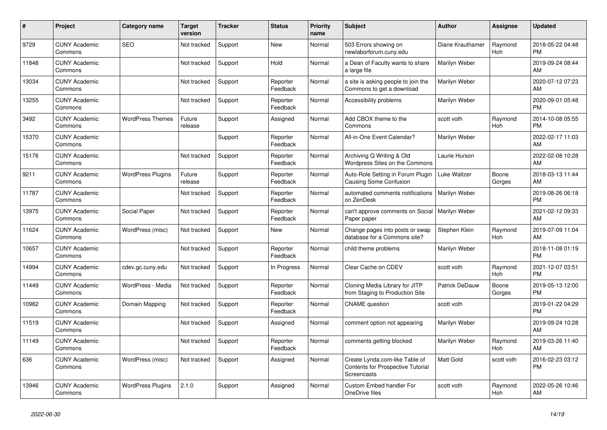| #     | <b>Project</b>                  | <b>Category name</b>     | <b>Target</b><br>version | <b>Tracker</b> | <b>Status</b>        | <b>Priority</b><br>name | <b>Subject</b>                                                                            | <b>Author</b>    | Assignee        | <b>Updated</b>                |
|-------|---------------------------------|--------------------------|--------------------------|----------------|----------------------|-------------------------|-------------------------------------------------------------------------------------------|------------------|-----------------|-------------------------------|
| 9729  | <b>CUNY Academic</b><br>Commons | <b>SEO</b>               | Not tracked              | Support        | New                  | Normal                  | 503 Errors showing on<br>newlaborforum.cuny.edu                                           | Diane Krauthamer | Raymond<br>Hoh  | 2018-05-22 04:48<br><b>PM</b> |
| 11848 | <b>CUNY Academic</b><br>Commons |                          | Not tracked              | Support        | Hold                 | Normal                  | a Dean of Faculty wants to share<br>a large file                                          | Marilyn Weber    |                 | 2019-09-24 08:44<br>AM        |
| 13034 | <b>CUNY Academic</b><br>Commons |                          | Not tracked              | Support        | Reporter<br>Feedback | Normal                  | a site is asking people to join the<br>Commons to get a download                          | Marilyn Weber    |                 | 2020-07-12 07:23<br>AM        |
| 13255 | <b>CUNY Academic</b><br>Commons |                          | Not tracked              | Support        | Reporter<br>Feedback | Normal                  | Accessibility problems                                                                    | Marilyn Weber    |                 | 2020-09-01 05:48<br><b>PM</b> |
| 3492  | <b>CUNY Academic</b><br>Commons | <b>WordPress Themes</b>  | Future<br>release        | Support        | Assigned             | Normal                  | Add CBOX theme to the<br>Commons                                                          | scott voth       | Raymond<br>Hoh  | 2014-10-08 05:55<br><b>PM</b> |
| 15370 | <b>CUNY Academic</b><br>Commons |                          |                          | Support        | Reporter<br>Feedback | Normal                  | All-in-One Event Calendar?                                                                | Marilyn Weber    |                 | 2022-02-17 11:03<br>AM        |
| 15176 | <b>CUNY Academic</b><br>Commons |                          | Not tracked              | Support        | Reporter<br>Feedback | Normal                  | Archiving Q Writing & Old<br>Wordpress Sites on the Commons                               | Laurie Hurson    |                 | 2022-02-08 10:28<br>AM        |
| 9211  | <b>CUNY Academic</b><br>Commons | <b>WordPress Plugins</b> | Future<br>release        | Support        | Reporter<br>Feedback | Normal                  | Auto-Role Setting in Forum Plugin<br>Causing Some Confusion                               | Luke Waltzer     | Boone<br>Gorges | 2018-03-13 11:44<br>AM        |
| 11787 | <b>CUNY Academic</b><br>Commons |                          | Not tracked              | Support        | Reporter<br>Feedback | Normal                  | automated comments notifications<br>on ZenDesk                                            | Marilyn Weber    |                 | 2019-08-26 06:18<br><b>PM</b> |
| 13975 | <b>CUNY Academic</b><br>Commons | Social Paper             | Not tracked              | Support        | Reporter<br>Feedback | Normal                  | can't approve comments on Social<br>Paper paper                                           | Marilyn Weber    |                 | 2021-02-12 09:33<br>AM        |
| 11624 | <b>CUNY Academic</b><br>Commons | WordPress (misc)         | Not tracked              | Support        | New                  | Normal                  | Change pages into posts or swap<br>database for a Commons site?                           | Stephen Klein    | Raymond<br>Hoh  | 2019-07-09 11:04<br>AM        |
| 10657 | <b>CUNY Academic</b><br>Commons |                          | Not tracked              | Support        | Reporter<br>Feedback | Normal                  | child theme problems                                                                      | Marilyn Weber    |                 | 2018-11-08 01:19<br><b>PM</b> |
| 14994 | <b>CUNY Academic</b><br>Commons | cdev.gc.cuny.edu         | Not tracked              | Support        | In Progress          | Normal                  | Clear Cache on CDEV                                                                       | scott voth       | Raymond<br>Hoh  | 2021-12-07 03:51<br><b>PM</b> |
| 11449 | <b>CUNY Academic</b><br>Commons | WordPress - Media        | Not tracked              | Support        | Reporter<br>Feedback | Normal                  | Cloning Media Library for JITP<br>from Staging to Production Site                         | Patrick DeDauw   | Boone<br>Gorges | 2019-05-13 12:00<br><b>PM</b> |
| 10982 | <b>CUNY Academic</b><br>Commons | Domain Mapping           | Not tracked              | Support        | Reporter<br>Feedback | Normal                  | <b>CNAME</b> question                                                                     | scott voth       |                 | 2019-01-22 04:29<br><b>PM</b> |
| 11519 | <b>CUNY Academic</b><br>Commons |                          | Not tracked              | Support        | Assigned             | Normal                  | comment option not appearing                                                              | Marilyn Weber    |                 | 2019-09-24 10:28<br>AM        |
| 11149 | <b>CUNY Academic</b><br>Commons |                          | Not tracked              | Support        | Reporter<br>Feedback | Normal                  | comments getting blocked                                                                  | Marilyn Weber    | Raymond<br>Hoh  | 2019-03-26 11:40<br>AM        |
| 636   | <b>CUNY Academic</b><br>Commons | WordPress (misc)         | Not tracked              | Support        | Assigned             | Normal                  | Create Lynda.com-like Table of<br><b>Contents for Prospective Tutorial</b><br>Screencasts | Matt Gold        | scott voth      | 2016-02-23 03:12<br><b>PM</b> |
| 13946 | <b>CUNY Academic</b><br>Commons | <b>WordPress Plugins</b> | 2.1.0                    | Support        | Assigned             | Normal                  | <b>Custom Embed handler For</b><br>OneDrive files                                         | scott voth       | Raymond<br>Hoh  | 2022-05-26 10:46<br>AM        |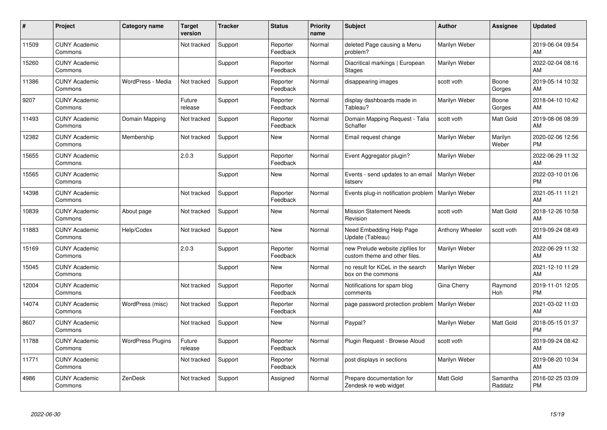| #     | Project                         | <b>Category name</b>     | <b>Target</b><br>version | <b>Tracker</b> | <b>Status</b>        | <b>Priority</b><br>name | <b>Subject</b>                                                    | <b>Author</b>    | <b>Assignee</b>     | <b>Updated</b>                |
|-------|---------------------------------|--------------------------|--------------------------|----------------|----------------------|-------------------------|-------------------------------------------------------------------|------------------|---------------------|-------------------------------|
| 11509 | <b>CUNY Academic</b><br>Commons |                          | Not tracked              | Support        | Reporter<br>Feedback | Normal                  | deleted Page causing a Menu<br>problem?                           | Marilyn Weber    |                     | 2019-06-04 09:54<br>AM        |
| 15260 | <b>CUNY Academic</b><br>Commons |                          |                          | Support        | Reporter<br>Feedback | Normal                  | Diacritical markings   European<br><b>Stages</b>                  | Marilyn Weber    |                     | 2022-02-04 08:16<br>AM        |
| 11386 | <b>CUNY Academic</b><br>Commons | WordPress - Media        | Not tracked              | Support        | Reporter<br>Feedback | Normal                  | disappearing images                                               | scott voth       | Boone<br>Gorges     | 2019-05-14 10:32<br>AM        |
| 9207  | <b>CUNY Academic</b><br>Commons |                          | Future<br>release        | Support        | Reporter<br>Feedback | Normal                  | display dashboards made in<br>Tableau?                            | Marilyn Weber    | Boone<br>Gorges     | 2018-04-10 10:42<br>AM        |
| 11493 | <b>CUNY Academic</b><br>Commons | Domain Mapping           | Not tracked              | Support        | Reporter<br>Feedback | Normal                  | Domain Mapping Request - Talia<br>Schaffer                        | scott voth       | Matt Gold           | 2019-08-06 08:39<br>AM        |
| 12382 | <b>CUNY Academic</b><br>Commons | Membership               | Not tracked              | Support        | <b>New</b>           | Normal                  | Email request change                                              | Marilyn Weber    | Marilyn<br>Weber    | 2020-02-06 12:56<br><b>PM</b> |
| 15655 | <b>CUNY Academic</b><br>Commons |                          | 2.0.3                    | Support        | Reporter<br>Feedback | Normal                  | Event Aggregator plugin?                                          | Marilyn Weber    |                     | 2022-06-29 11:32<br>AM        |
| 15565 | <b>CUNY Academic</b><br>Commons |                          |                          | Support        | <b>New</b>           | Normal                  | Events - send updates to an email<br>listserv                     | Marilyn Weber    |                     | 2022-03-10 01:06<br><b>PM</b> |
| 14398 | <b>CUNY Academic</b><br>Commons |                          | Not tracked              | Support        | Reporter<br>Feedback | Normal                  | Events plug-in notification problem   Marilyn Weber               |                  |                     | 2021-05-11 11:21<br>AM        |
| 10839 | <b>CUNY Academic</b><br>Commons | About page               | Not tracked              | Support        | New                  | Normal                  | <b>Mission Statement Needs</b><br>Revision                        | scott voth       | Matt Gold           | 2018-12-26 10:58<br>AM        |
| 11883 | <b>CUNY Academic</b><br>Commons | Help/Codex               | Not tracked              | Support        | New                  | Normal                  | Need Embedding Help Page<br>Update (Tableau)                      | Anthony Wheeler  | scott voth          | 2019-09-24 08:49<br>AM        |
| 15169 | <b>CUNY Academic</b><br>Commons |                          | 2.0.3                    | Support        | Reporter<br>Feedback | Normal                  | new Prelude website zipfiles for<br>custom theme and other files. | Marilyn Weber    |                     | 2022-06-29 11:32<br>AM        |
| 15045 | <b>CUNY Academic</b><br>Commons |                          |                          | Support        | New                  | Normal                  | no result for KCeL in the search<br>box on the commons            | Marilyn Weber    |                     | 2021-12-10 11:29<br>AM        |
| 12004 | <b>CUNY Academic</b><br>Commons |                          | Not tracked              | Support        | Reporter<br>Feedback | Normal                  | Notifications for spam blog<br>comments                           | Gina Cherry      | Raymond<br>Hoh      | 2019-11-01 12:05<br><b>PM</b> |
| 14074 | <b>CUNY Academic</b><br>Commons | WordPress (misc)         | Not tracked              | Support        | Reporter<br>Feedback | Normal                  | page password protection problem                                  | Marilyn Weber    |                     | 2021-03-02 11:03<br>AM        |
| 8607  | <b>CUNY Academic</b><br>Commons |                          | Not tracked              | Support        | New                  | Normal                  | Paypal?                                                           | Marilyn Weber    | Matt Gold           | 2018-05-15 01:37<br><b>PM</b> |
| 11788 | <b>CUNY Academic</b><br>Commons | <b>WordPress Plugins</b> | Future<br>release        | Support        | Reporter<br>Feedback | Normal                  | Plugin Request - Browse Aloud                                     | scott voth       |                     | 2019-09-24 08:42<br>AM        |
| 11771 | <b>CUNY Academic</b><br>Commons |                          | Not tracked              | Support        | Reporter<br>Feedback | Normal                  | post displays in sections                                         | Marilyn Weber    |                     | 2019-08-20 10:34<br>AM        |
| 4986  | <b>CUNY Academic</b><br>Commons | ZenDesk                  | Not tracked              | Support        | Assigned             | Normal                  | Prepare documentation for<br>Zendesk re web widget                | <b>Matt Gold</b> | Samantha<br>Raddatz | 2016-02-25 03:09<br><b>PM</b> |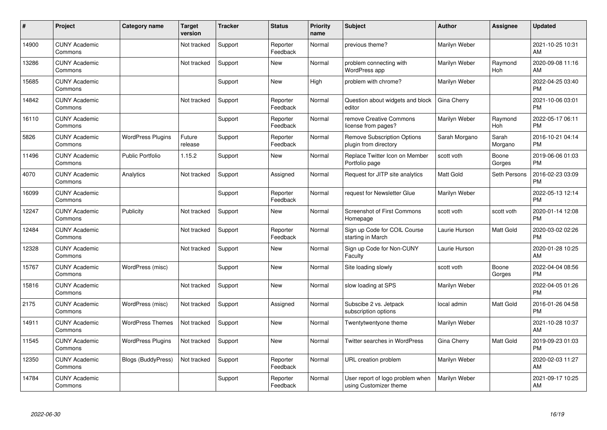| #     | Project                         | <b>Category name</b>      | <b>Target</b><br>version | <b>Tracker</b> | <b>Status</b>        | Priority<br>name | <b>Subject</b>                                              | <b>Author</b>    | <b>Assignee</b>  | <b>Updated</b>                |
|-------|---------------------------------|---------------------------|--------------------------|----------------|----------------------|------------------|-------------------------------------------------------------|------------------|------------------|-------------------------------|
| 14900 | <b>CUNY Academic</b><br>Commons |                           | Not tracked              | Support        | Reporter<br>Feedback | Normal           | previous theme?                                             | Marilyn Weber    |                  | 2021-10-25 10:31<br>AM        |
| 13286 | <b>CUNY Academic</b><br>Commons |                           | Not tracked              | Support        | <b>New</b>           | Normal           | problem connecting with<br>WordPress app                    | Marilyn Weber    | Raymond<br>Hoh   | 2020-09-08 11:16<br>AM        |
| 15685 | <b>CUNY Academic</b><br>Commons |                           |                          | Support        | <b>New</b>           | High             | problem with chrome?                                        | Marilyn Weber    |                  | 2022-04-25 03:40<br><b>PM</b> |
| 14842 | <b>CUNY Academic</b><br>Commons |                           | Not tracked              | Support        | Reporter<br>Feedback | Normal           | Question about widgets and block<br>editor                  | Gina Cherry      |                  | 2021-10-06 03:01<br><b>PM</b> |
| 16110 | <b>CUNY Academic</b><br>Commons |                           |                          | Support        | Reporter<br>Feedback | Normal           | remove Creative Commons<br>license from pages?              | Marilyn Weber    | Raymond<br>Hoh   | 2022-05-17 06:11<br><b>PM</b> |
| 5826  | <b>CUNY Academic</b><br>Commons | <b>WordPress Plugins</b>  | Future<br>release        | Support        | Reporter<br>Feedback | Normal           | <b>Remove Subscription Options</b><br>plugin from directory | Sarah Morgano    | Sarah<br>Morgano | 2016-10-21 04:14<br><b>PM</b> |
| 11496 | <b>CUNY Academic</b><br>Commons | <b>Public Portfolio</b>   | 1.15.2                   | Support        | <b>New</b>           | Normal           | Replace Twitter Icon on Member<br>Portfolio page            | scott voth       | Boone<br>Gorges  | 2019-06-06 01:03<br><b>PM</b> |
| 4070  | <b>CUNY Academic</b><br>Commons | Analytics                 | Not tracked              | Support        | Assigned             | Normal           | Request for JITP site analytics                             | <b>Matt Gold</b> | Seth Persons     | 2016-02-23 03:09<br><b>PM</b> |
| 16099 | <b>CUNY Academic</b><br>Commons |                           |                          | Support        | Reporter<br>Feedback | Normal           | request for Newsletter Glue                                 | Marilyn Weber    |                  | 2022-05-13 12:14<br><b>PM</b> |
| 12247 | <b>CUNY Academic</b><br>Commons | Publicity                 | Not tracked              | Support        | <b>New</b>           | Normal           | Screenshot of First Commons<br>Homepage                     | scott voth       | scott voth       | 2020-01-14 12:08<br><b>PM</b> |
| 12484 | <b>CUNY Academic</b><br>Commons |                           | Not tracked              | Support        | Reporter<br>Feedback | Normal           | Sign up Code for COIL Course<br>starting in March           | Laurie Hurson    | Matt Gold        | 2020-03-02 02:26<br><b>PM</b> |
| 12328 | <b>CUNY Academic</b><br>Commons |                           | Not tracked              | Support        | <b>New</b>           | Normal           | Sign up Code for Non-CUNY<br>Faculty                        | Laurie Hurson    |                  | 2020-01-28 10:25<br>AM        |
| 15767 | <b>CUNY Academic</b><br>Commons | WordPress (misc)          |                          | Support        | New                  | Normal           | Site loading slowly                                         | scott voth       | Boone<br>Gorges  | 2022-04-04 08:56<br><b>PM</b> |
| 15816 | <b>CUNY Academic</b><br>Commons |                           | Not tracked              | Support        | <b>New</b>           | Normal           | slow loading at SPS                                         | Marilyn Weber    |                  | 2022-04-05 01:26<br><b>PM</b> |
| 2175  | <b>CUNY Academic</b><br>Commons | WordPress (misc)          | Not tracked              | Support        | Assigned             | Normal           | Subscibe 2 vs. Jetpack<br>subscription options              | local admin      | Matt Gold        | 2016-01-26 04:58<br><b>PM</b> |
| 14911 | <b>CUNY Academic</b><br>Commons | <b>WordPress Themes</b>   | Not tracked              | Support        | New                  | Normal           | Twentytwentyone theme                                       | Marilyn Weber    |                  | 2021-10-28 10:37<br>AM        |
| 11545 | <b>CUNY Academic</b><br>Commons | <b>WordPress Plugins</b>  | Not tracked              | Support        | <b>New</b>           | Normal           | Twitter searches in WordPress                               | Gina Cherry      | Matt Gold        | 2019-09-23 01:03<br><b>PM</b> |
| 12350 | <b>CUNY Academic</b><br>Commons | <b>Blogs (BuddyPress)</b> | Not tracked              | Support        | Reporter<br>Feedback | Normal           | URL creation problem                                        | Marilyn Weber    |                  | 2020-02-03 11:27<br>AM        |
| 14784 | <b>CUNY Academic</b><br>Commons |                           |                          | Support        | Reporter<br>Feedback | Normal           | User report of logo problem when<br>using Customizer theme  | Marilyn Weber    |                  | 2021-09-17 10:25<br>AM        |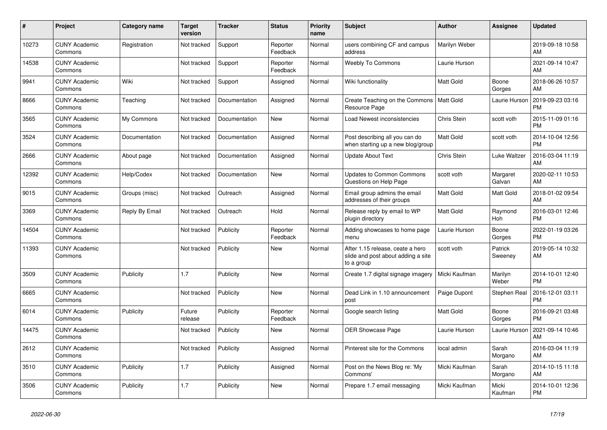| #     | <b>Project</b>                  | Category name  | Target<br>version | <b>Tracker</b> | <b>Status</b>        | <b>Priority</b><br>name | <b>Subject</b>                                                                       | <b>Author</b>    | Assignee           | <b>Updated</b>                |
|-------|---------------------------------|----------------|-------------------|----------------|----------------------|-------------------------|--------------------------------------------------------------------------------------|------------------|--------------------|-------------------------------|
| 10273 | <b>CUNY Academic</b><br>Commons | Registration   | Not tracked       | Support        | Reporter<br>Feedback | Normal                  | users combining CF and campus<br>address                                             | Marilyn Weber    |                    | 2019-09-18 10:58<br>AM        |
| 14538 | <b>CUNY Academic</b><br>Commons |                | Not tracked       | Support        | Reporter<br>Feedback | Normal                  | <b>Weebly To Commons</b>                                                             | Laurie Hurson    |                    | 2021-09-14 10:47<br>AM        |
| 9941  | <b>CUNY Academic</b><br>Commons | Wiki           | Not tracked       | Support        | Assigned             | Normal                  | Wiki functionality                                                                   | Matt Gold        | Boone<br>Gorges    | 2018-06-26 10:57<br>AM        |
| 8666  | <b>CUNY Academic</b><br>Commons | Teaching       | Not tracked       | Documentation  | Assigned             | Normal                  | Create Teaching on the Commons<br>Resource Page                                      | Matt Gold        | Laurie Hurson      | 2019-09-23 03:16<br><b>PM</b> |
| 3565  | <b>CUNY Academic</b><br>Commons | My Commons     | Not tracked       | Documentation  | New                  | Normal                  | Load Newest inconsistencies                                                          | Chris Stein      | scott voth         | 2015-11-09 01:16<br><b>PM</b> |
| 3524  | <b>CUNY Academic</b><br>Commons | Documentation  | Not tracked       | Documentation  | Assigned             | Normal                  | Post describing all you can do<br>when starting up a new blog/group                  | Matt Gold        | scott voth         | 2014-10-04 12:56<br><b>PM</b> |
| 2666  | <b>CUNY Academic</b><br>Commons | About page     | Not tracked       | Documentation  | Assigned             | Normal                  | <b>Update About Text</b>                                                             | Chris Stein      | Luke Waltzer       | 2016-03-04 11:19<br>AM        |
| 12392 | <b>CUNY Academic</b><br>Commons | Help/Codex     | Not tracked       | Documentation  | New                  | Normal                  | <b>Updates to Common Commons</b><br>Questions on Help Page                           | scott voth       | Margaret<br>Galvan | 2020-02-11 10:53<br>AM        |
| 9015  | <b>CUNY Academic</b><br>Commons | Groups (misc)  | Not tracked       | Outreach       | Assigned             | Normal                  | Email group admins the email<br>addresses of their groups                            | Matt Gold        | Matt Gold          | 2018-01-02 09:54<br>AM        |
| 3369  | <b>CUNY Academic</b><br>Commons | Reply By Email | Not tracked       | Outreach       | Hold                 | Normal                  | Release reply by email to WP<br>plugin directory                                     | Matt Gold        | Raymond<br>Hoh     | 2016-03-01 12:46<br><b>PM</b> |
| 14504 | <b>CUNY Academic</b><br>Commons |                | Not tracked       | Publicity      | Reporter<br>Feedback | Normal                  | Adding showcases to home page<br>menu                                                | Laurie Hurson    | Boone<br>Gorges    | 2022-01-19 03:26<br>PM.       |
| 11393 | <b>CUNY Academic</b><br>Commons |                | Not tracked       | Publicity      | New                  | Normal                  | After 1.15 release, ceate a hero<br>slide and post about adding a site<br>to a group | scott voth       | Patrick<br>Sweeney | 2019-05-14 10:32<br>AM        |
| 3509  | <b>CUNY Academic</b><br>Commons | Publicity      | 1.7               | Publicity      | <b>New</b>           | Normal                  | Create 1.7 digital signage imagery                                                   | Micki Kaufman    | Marilyn<br>Weber   | 2014-10-01 12:40<br><b>PM</b> |
| 6665  | <b>CUNY Academic</b><br>Commons |                | Not tracked       | Publicity      | New                  | Normal                  | Dead Link in 1.10 announcement<br>post                                               | Paige Dupont     | Stephen Real       | 2016-12-01 03:11<br><b>PM</b> |
| 6014  | <b>CUNY Academic</b><br>Commons | Publicity      | Future<br>release | Publicity      | Reporter<br>Feedback | Normal                  | Google search listing                                                                | <b>Matt Gold</b> | Boone<br>Gorges    | 2016-09-21 03:48<br><b>PM</b> |
| 14475 | <b>CUNY Academic</b><br>Commons |                | Not tracked       | Publicity      | New                  | Normal                  | <b>OER Showcase Page</b>                                                             | Laurie Hurson    | Laurie Hurson      | 2021-09-14 10:46<br><b>AM</b> |
| 2612  | <b>CUNY Academic</b><br>Commons |                | Not tracked       | Publicity      | Assigned             | Normal                  | Pinterest site for the Commons                                                       | local admin      | Sarah<br>Morgano   | 2016-03-04 11:19<br><b>AM</b> |
| 3510  | <b>CUNY Academic</b><br>Commons | Publicity      | 1.7               | Publicity      | Assigned             | Normal                  | Post on the News Blog re: 'My<br>Commons'                                            | Micki Kaufman    | Sarah<br>Morgano   | 2014-10-15 11:18<br>AM        |
| 3506  | <b>CUNY Academic</b><br>Commons | Publicity      | 1.7               | Publicity      | <b>New</b>           | Normal                  | Prepare 1.7 email messaging                                                          | Micki Kaufman    | Micki<br>Kaufman   | 2014-10-01 12:36<br>PM        |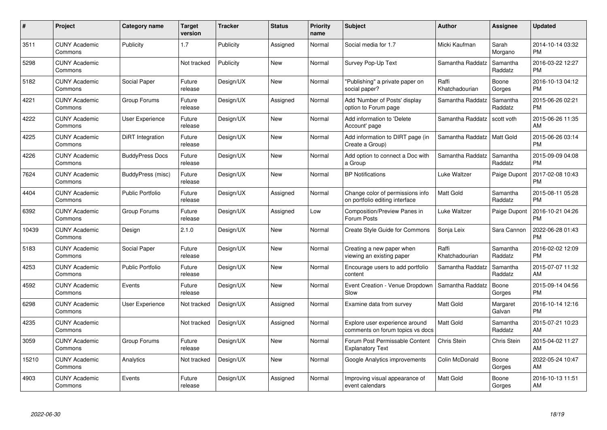| $\#$  | Project                         | <b>Category name</b>    | <b>Target</b><br>version | <b>Tracker</b> | <b>Status</b> | Priority<br>name | <b>Subject</b>                                                     | <b>Author</b>           | <b>Assignee</b>     | <b>Updated</b>                |
|-------|---------------------------------|-------------------------|--------------------------|----------------|---------------|------------------|--------------------------------------------------------------------|-------------------------|---------------------|-------------------------------|
| 3511  | <b>CUNY Academic</b><br>Commons | Publicity               | 1.7                      | Publicity      | Assigned      | Normal           | Social media for 1.7                                               | Micki Kaufman           | Sarah<br>Morgano    | 2014-10-14 03:32<br><b>PM</b> |
| 5298  | <b>CUNY Academic</b><br>Commons |                         | Not tracked              | Publicity      | <b>New</b>    | Normal           | Survey Pop-Up Text                                                 | Samantha Raddatz        | Samantha<br>Raddatz | 2016-03-22 12:27<br><b>PM</b> |
| 5182  | <b>CUNY Academic</b><br>Commons | Social Paper            | Future<br>release        | Design/UX      | <b>New</b>    | Normal           | "Publishing" a private paper on<br>social paper?                   | Raffi<br>Khatchadourian | Boone<br>Gorges     | 2016-10-13 04:12<br><b>PM</b> |
| 4221  | <b>CUNY Academic</b><br>Commons | Group Forums            | Future<br>release        | Design/UX      | Assigned      | Normal           | Add 'Number of Posts' display<br>option to Forum page              | Samantha Raddatz        | Samantha<br>Raddatz | 2015-06-26 02:21<br><b>PM</b> |
| 4222  | <b>CUNY Academic</b><br>Commons | User Experience         | Future<br>release        | Design/UX      | <b>New</b>    | Normal           | Add information to 'Delete<br>Account' page                        | Samantha Raddatz        | scott voth          | 2015-06-26 11:35<br>AM        |
| 4225  | <b>CUNY Academic</b><br>Commons | DiRT Integration        | Future<br>release        | Design/UX      | <b>New</b>    | Normal           | Add information to DIRT page (in<br>Create a Group)                | Samantha Raddatz        | <b>Matt Gold</b>    | 2015-06-26 03:14<br><b>PM</b> |
| 4226  | <b>CUNY Academic</b><br>Commons | <b>BuddyPress Docs</b>  | Future<br>release        | Design/UX      | <b>New</b>    | Normal           | Add option to connect a Doc with<br>a Group                        | Samantha Raddatz        | Samantha<br>Raddatz | 2015-09-09 04:08<br><b>PM</b> |
| 7624  | <b>CUNY Academic</b><br>Commons | BuddyPress (misc)       | Future<br>release        | Design/UX      | <b>New</b>    | Normal           | <b>BP Notifications</b>                                            | Luke Waltzer            | Paige Dupont        | 2017-02-08 10:43<br><b>PM</b> |
| 4404  | <b>CUNY Academic</b><br>Commons | <b>Public Portfolio</b> | Future<br>release        | Design/UX      | Assigned      | Normal           | Change color of permissions info<br>on portfolio editing interface | <b>Matt Gold</b>        | Samantha<br>Raddatz | 2015-08-11 05:28<br><b>PM</b> |
| 6392  | <b>CUNY Academic</b><br>Commons | Group Forums            | Future<br>release        | Design/UX      | Assigned      | Low              | <b>Composition/Preview Panes in</b><br>Forum Posts                 | Luke Waltzer            | Paige Dupont        | 2016-10-21 04:26<br><b>PM</b> |
| 10439 | <b>CUNY Academic</b><br>Commons | Design                  | 2.1.0                    | Design/UX      | New           | Normal           | Create Style Guide for Commons                                     | Sonja Leix              | Sara Cannon         | 2022-06-28 01:43<br><b>PM</b> |
| 5183  | <b>CUNY Academic</b><br>Commons | Social Paper            | Future<br>release        | Design/UX      | New           | Normal           | Creating a new paper when<br>viewing an existing paper             | Raffi<br>Khatchadourian | Samantha<br>Raddatz | 2016-02-02 12:09<br><b>PM</b> |
| 4253  | <b>CUNY Academic</b><br>Commons | <b>Public Portfolio</b> | Future<br>release        | Design/UX      | New           | Normal           | Encourage users to add portfolio<br>content                        | Samantha Raddatz        | Samantha<br>Raddatz | 2015-07-07 11:32<br>AM        |
| 4592  | <b>CUNY Academic</b><br>Commons | Events                  | Future<br>release        | Design/UX      | New           | Normal           | Event Creation - Venue Dropdown<br>Slow                            | Samantha Raddatz        | Boone<br>Gorges     | 2015-09-14 04:56<br><b>PM</b> |
| 6298  | <b>CUNY Academic</b><br>Commons | User Experience         | Not tracked              | Design/UX      | Assigned      | Normal           | Examine data from survey                                           | Matt Gold               | Margaret<br>Galvan  | 2016-10-14 12:16<br><b>PM</b> |
| 4235  | <b>CUNY Academic</b><br>Commons |                         | Not tracked              | Design/UX      | Assigned      | Normal           | Explore user experience around<br>comments on forum topics vs docs | <b>Matt Gold</b>        | Samantha<br>Raddatz | 2015-07-21 10:23<br>AM        |
| 3059  | <b>CUNY Academic</b><br>Commons | Group Forums            | Future<br>release        | Design/UX      | New           | Normal           | Forum Post Permissable Content<br><b>Explanatory Text</b>          | Chris Stein             | <b>Chris Stein</b>  | 2015-04-02 11:27<br>AM        |
| 15210 | <b>CUNY Academic</b><br>Commons | Analytics               | Not tracked              | Design/UX      | New           | Normal           | Google Analytics improvements                                      | Colin McDonald          | Boone<br>Gorges     | 2022-05-24 10:47<br>AM        |
| 4903  | <b>CUNY Academic</b><br>Commons | Events                  | Future<br>release        | Design/UX      | Assigned      | Normal           | Improving visual appearance of<br>event calendars                  | <b>Matt Gold</b>        | Boone<br>Gorges     | 2016-10-13 11:51<br>AM        |